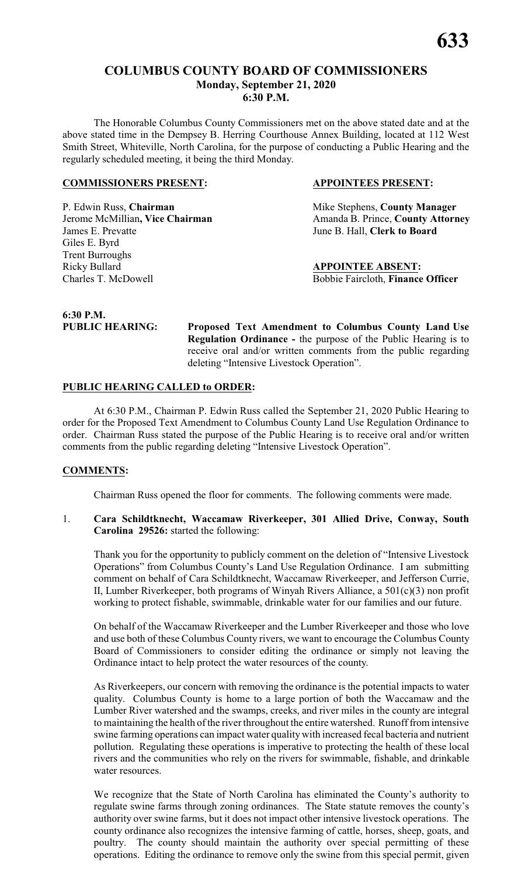#### **COLUMBUS COUNTY BOARD OF COMMISSIONERS Monday, September 21, 2020 6:30 P.M.**

The Honorable Columbus County Commissioners met on the above stated date and at the above stated time in the Dempsey B. Herring Courthouse Annex Building, located at 112 West Smith Street, Whiteville, North Carolina, for the purpose of conducting a Public Hearing and the regularly scheduled meeting, it being the third Monday.

#### **COMMISSIONERS PRESENT: APPOINTEES PRESENT:**

P. Edwin Russ, **Chairman** Mike Stephens, **County Manager** James E. Prevatte June B. Hall, **Clerk to Board** Giles E. Byrd Trent Burroughs Ricky Bullard **APPOINTEE ABSENT:** Charles T. McDowell Bobbie Faircloth, **Finance Officer**

**Jerome McMillian, Vice Chairman** Amanda B. Prince, **County Attorney** 

## **6:30 P.M.**

**PUBLIC HEARING: Proposed Text Amendment to Columbus County Land Use Regulation Ordinance -** the purpose of the Public Hearing is to receive oral and/or written comments from the public regarding deleting "Intensive Livestock Operation".

#### **PUBLIC HEARING CALLED to ORDER:**

At 6:30 P.M., Chairman P. Edwin Russ called the September 21, 2020 Public Hearing to order for the Proposed Text Amendment to Columbus County Land Use Regulation Ordinance to order. Chairman Russ stated the purpose of the Public Hearing is to receive oral and/or written comments from the public regarding deleting "Intensive Livestock Operation".

#### **COMMENTS:**

Chairman Russ opened the floor for comments. The following comments were made.

1. **Cara Schildtknecht, Waccamaw Riverkeeper, 301 Allied Drive, Conway, South Carolina 29526:** started the following:

Thank you for the opportunity to publicly comment on the deletion of "Intensive Livestock Operations" from Columbus County's Land Use Regulation Ordinance. I am submitting comment on behalf of Cara Schildtknecht, Waccamaw Riverkeeper, and Jefferson Currie, II, Lumber Riverkeeper, both programs of Winyah Rivers Alliance, a 501(c)(3) non profit working to protect fishable, swimmable, drinkable water for our families and our future.

On behalf of the Waccamaw Riverkeeper and the Lumber Riverkeeper and those who love and use both of these Columbus County rivers, we want to encourage the Columbus County Board of Commissioners to consider editing the ordinance or simply not leaving the Ordinance intact to help protect the water resources of the county.

As Riverkeepers, our concern with removing the ordinance is the potential impacts to water quality. Columbus County is home to a large portion of both the Waccamaw and the Lumber River watershed and the swamps, creeks, and river miles in the county are integral to maintaining the health of the river throughout the entire watershed. Runoff from intensive swine farming operations can impact water quality with increased fecal bacteria and nutrient pollution. Regulating these operations is imperative to protecting the health of these local rivers and the communities who rely on the rivers for swimmable, fishable, and drinkable water resources.

We recognize that the State of North Carolina has eliminated the County's authority to regulate swine farms through zoning ordinances. The State statute removes the county's authority over swine farms, but it does not impact other intensive livestock operations. The county ordinance also recognizes the intensive farming of cattle, horses, sheep, goats, and poultry. The county should maintain the authority over special permitting of these operations. Editing the ordinance to remove only the swine from this special permit, given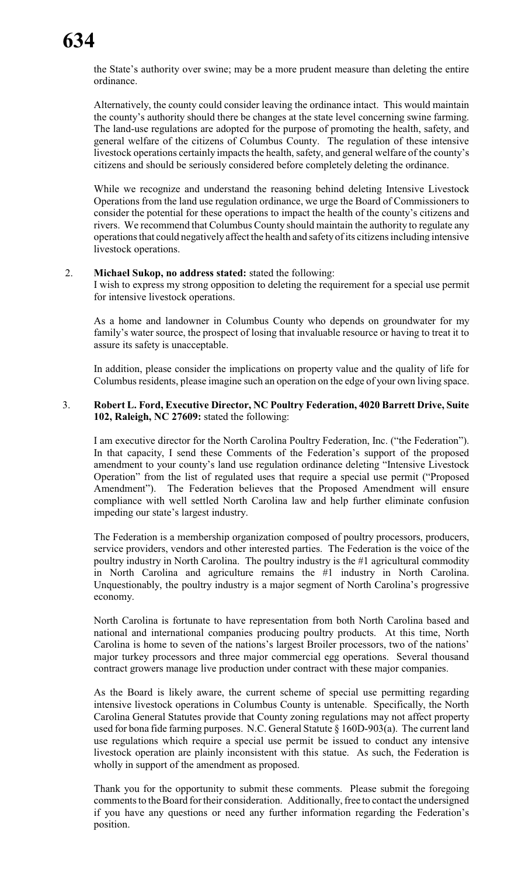the State's authority over swine; may be a more prudent measure than deleting the entire ordinance.

Alternatively, the county could consider leaving the ordinance intact. This would maintain the county's authority should there be changes at the state level concerning swine farming. The land-use regulations are adopted for the purpose of promoting the health, safety, and general welfare of the citizens of Columbus County. The regulation of these intensive livestock operations certainly impacts the health, safety, and general welfare of the county's citizens and should be seriously considered before completely deleting the ordinance.

While we recognize and understand the reasoning behind deleting Intensive Livestock Operations from the land use regulation ordinance, we urge the Board of Commissioners to consider the potential for these operations to impact the health of the county's citizens and rivers. We recommend that Columbus County should maintain the authority to regulate any operations that could negatively affect the health and safetyof its citizens including intensive livestock operations.

#### 2. **Michael Sukop, no address stated:** stated the following:

I wish to express my strong opposition to deleting the requirement for a special use permit for intensive livestock operations.

As a home and landowner in Columbus County who depends on groundwater for my family's water source, the prospect of losing that invaluable resource or having to treat it to assure its safety is unacceptable.

In addition, please consider the implications on property value and the quality of life for Columbus residents, please imagine such an operation on the edge of your own living space.

#### 3. **Robert L. Ford, Executive Director, NC Poultry Federation, 4020 Barrett Drive, Suite 102, Raleigh, NC 27609:** stated the following:

I am executive director for the North Carolina Poultry Federation, Inc. ("the Federation"). In that capacity, I send these Comments of the Federation's support of the proposed amendment to your county's land use regulation ordinance deleting "Intensive Livestock Operation" from the list of regulated uses that require a special use permit ("Proposed Amendment"). The Federation believes that the Proposed Amendment will ensure compliance with well settled North Carolina law and help further eliminate confusion impeding our state's largest industry.

The Federation is a membership organization composed of poultry processors, producers, service providers, vendors and other interested parties. The Federation is the voice of the poultry industry in North Carolina. The poultry industry is the #1 agricultural commodity in North Carolina and agriculture remains the #1 industry in North Carolina. Unquestionably, the poultry industry is a major segment of North Carolina's progressive economy.

North Carolina is fortunate to have representation from both North Carolina based and national and international companies producing poultry products. At this time, North Carolina is home to seven of the nations's largest Broiler processors, two of the nations' major turkey processors and three major commercial egg operations. Several thousand contract growers manage live production under contract with these major companies.

As the Board is likely aware, the current scheme of special use permitting regarding intensive livestock operations in Columbus County is untenable. Specifically, the North Carolina General Statutes provide that County zoning regulations may not affect property used for bona fide farming purposes. N.C. General Statute § 160D-903(a). The current land use regulations which require a special use permit be issued to conduct any intensive livestock operation are plainly inconsistent with this statue. As such, the Federation is wholly in support of the amendment as proposed.

Thank you for the opportunity to submit these comments. Please submit the foregoing comments to the Board for their consideration. Additionally, free to contact the undersigned if you have any questions or need any further information regarding the Federation's position.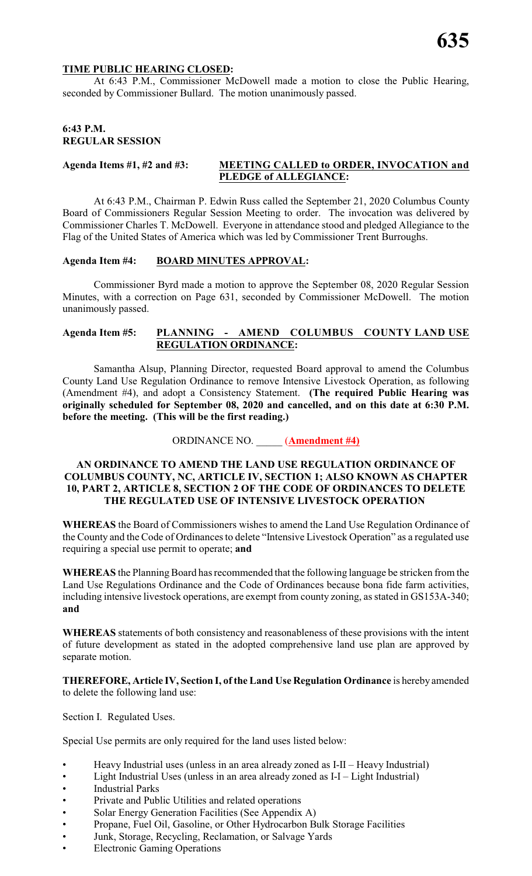#### **TIME PUBLIC HEARING CLOSED:**

At 6:43 P.M., Commissioner McDowell made a motion to close the Public Hearing, seconded by Commissioner Bullard. The motion unanimously passed.

### **6:43 P.M. REGULAR SESSION**

#### **Agenda Items #1, #2 and #3: MEETING CALLED to ORDER, INVOCATION and PLEDGE of ALLEGIANCE:**

At 6:43 P.M., Chairman P. Edwin Russ called the September 21, 2020 Columbus County Board of Commissioners Regular Session Meeting to order. The invocation was delivered by Commissioner Charles T. McDowell. Everyone in attendance stood and pledged Allegiance to the Flag of the United States of America which was led by Commissioner Trent Burroughs.

#### **Agenda Item #4: BOARD MINUTES APPROVAL:**

Commissioner Byrd made a motion to approve the September 08, 2020 Regular Session Minutes, with a correction on Page 631, seconded by Commissioner McDowell. The motion unanimously passed.

#### **Agenda Item #5: PLANNING - AMEND COLUMBUS COUNTY LAND USE REGULATION ORDINANCE:**

Samantha Alsup, Planning Director, requested Board approval to amend the Columbus County Land Use Regulation Ordinance to remove Intensive Livestock Operation, as following (Amendment #4), and adopt a Consistency Statement. **(The required Public Hearing was originally scheduled for September 08, 2020 and cancelled, and on this date at 6:30 P.M. before the meeting. (This will be the first reading.)**

#### ORDINANCE NO. \_\_\_\_\_ (**Amendment #4)**

#### **AN ORDINANCE TO AMEND THE LAND USE REGULATION ORDINANCE OF COLUMBUS COUNTY, NC, ARTICLE IV, SECTION 1; ALSO KNOWN AS CHAPTER 10, PART 2, ARTICLE 8, SECTION 2 OF THE CODE OF ORDINANCES TO DELETE THE REGULATED USE OF INTENSIVE LIVESTOCK OPERATION**

**WHEREAS** the Board of Commissioners wishes to amend the Land Use Regulation Ordinance of the County and the Code of Ordinances to delete "Intensive Livestock Operation" as a regulated use requiring a special use permit to operate; **and**

**WHEREAS** the Planning Board has recommended that the following language be stricken from the Land Use Regulations Ordinance and the Code of Ordinances because bona fide farm activities, including intensive livestock operations, are exempt from county zoning, as stated in GS153A-340; **and**

**WHEREAS** statements of both consistency and reasonableness of these provisions with the intent of future development as stated in the adopted comprehensive land use plan are approved by separate motion.

**THEREFORE, Article IV, Section I, of the Land Use Regulation Ordinance** is hereby amended to delete the following land use:

Section I. Regulated Uses.

Special Use permits are only required for the land uses listed below:

- Heavy Industrial uses (unless in an area already zoned as I-II Heavy Industrial)
- Light Industrial Uses (unless in an area already zoned as I-I Light Industrial)
- **Industrial Parks**
- Private and Public Utilities and related operations
- Solar Energy Generation Facilities (See Appendix A)
- Propane, Fuel Oil, Gasoline, or Other Hydrocarbon Bulk Storage Facilities
- Junk, Storage, Recycling, Reclamation, or Salvage Yards
- **Electronic Gaming Operations**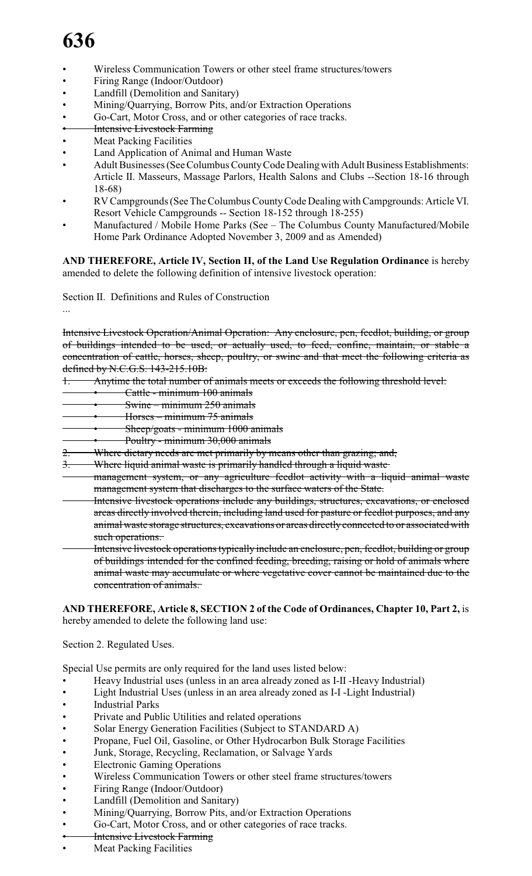- Wireless Communication Towers or other steel frame structures/towers
- Firing Range (Indoor/Outdoor)
- Landfill (Demolition and Sanitary)
- Mining/Quarrying, Borrow Pits, and/or Extraction Operations
- Go-Cart, Motor Cross, and or other categories of race tracks.
- **Intensive Livestock Farming**
- Meat Packing Facilities
- Land Application of Animal and Human Waste
- Adult Businesses (See Columbus County Code Dealing with Adult Business Establishments: Article II. Masseurs, Massage Parlors, Health Salons and Clubs --Section 18-16 through 18-68)
- RV Campgrounds (See The Columbus CountyCode Dealingwith Campgrounds: Article VI. Resort Vehicle Campgrounds -- Section 18-152 through 18-255)
- Manufactured / Mobile Home Parks (See The Columbus County Manufactured/Mobile Home Park Ordinance Adopted November 3, 2009 and as Amended)

**AND THEREFORE, Article IV, Section II, of the Land Use Regulation Ordinance** is hereby amended to delete the following definition of intensive livestock operation:

Section II. Definitions and Rules of Construction

...

Intensive Livestock Operation/Animal Operation: Any enclosure, pen, feedlot, building, or group of buildings intended to be used, or actually used, to feed, confine, maintain, or stable a concentration of cattle, horses, sheep, poultry, or swine and that meet the following criteria as defined by N.C.G.S. 143-215.10B:

- 1. Anytime the total number of animals meets or exceeds the following threshold level:
- Cattle minimum 100 animals
- $Swine minimum 250 animals$
- Horses minimum 75 animals
- Sheep/goats minimum 1000 animals
- Poultry minimum 30,000 animals
- 2. Where dietary needs are met primarily by means other than grazing; and,
- 3. Where liquid animal waste is primarily handled through a liquid waste
- management system, or any agriculture feedlot activity with a liquid animal waste management system that discharges to the surface waters of the State.
- Intensive livestock operations include any buildings, structures, excavations, or enclosed areas directly involved therein, including land used for pasture or feedlot purposes, and any animal waste storage structures, excavations or areas directly connected to or associated with such operations.
- Intensive livestock operations typically include an enclosure, pen, feedlot, building or group of buildings intended for the confined feeding, breeding, raising or hold of animals where animal waste may accumulate or where vegetative cover cannot be maintained due to the concentration of animals.

**AND THEREFORE, Article 8, SECTION 2 of the Code of Ordinances, Chapter 10, Part 2,** is hereby amended to delete the following land use:

Section 2. Regulated Uses.

Special Use permits are only required for the land uses listed below:

- Heavy Industrial uses (unless in an area already zoned as I-II -Heavy Industrial)
- Light Industrial Uses (unless in an area already zoned as I-I -Light Industrial)
- **Industrial Parks**
- Private and Public Utilities and related operations
- Solar Energy Generation Facilities (Subject to STANDARD A)
- Propane, Fuel Oil, Gasoline, or Other Hydrocarbon Bulk Storage Facilities
- Junk, Storage, Recycling, Reclamation, or Salvage Yards
- Electronic Gaming Operations
- Wireless Communication Towers or other steel frame structures/towers
- Firing Range (Indoor/Outdoor)
- Landfill (Demolition and Sanitary)
- Mining/Quarrying, Borrow Pits, and/or Extraction Operations
- Go-Cart, Motor Cross, and or other categories of race tracks.
- **Intensive Livestock Farming**
- **Meat Packing Facilities**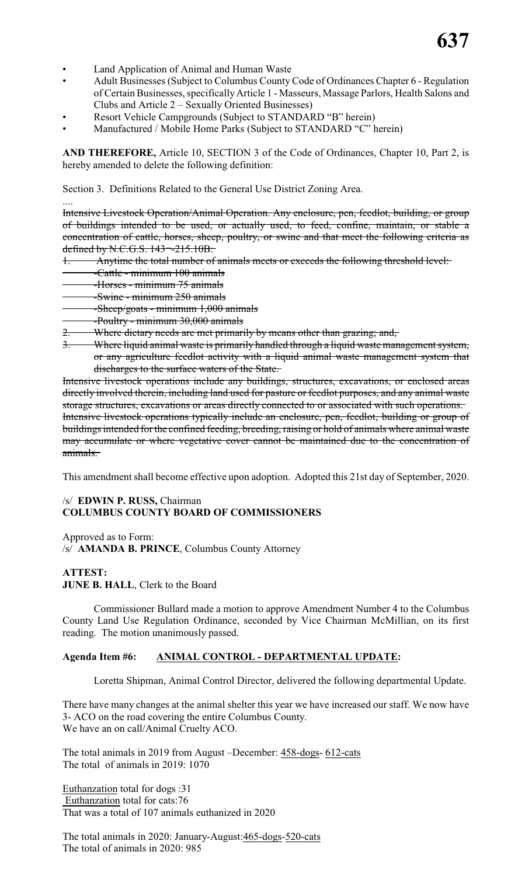- Land Application of Animal and Human Waste
- Adult Businesses (Subject to Columbus County Code of Ordinances Chapter 6 Regulation of Certain Businesses, specificallyArticle 1 - Masseurs, Massage Parlors, Health Salons and Clubs and Article 2 – Sexually Oriented Businesses)
- Resort Vehicle Campgrounds (Subject to STANDARD "B" herein)
- Manufactured / Mobile Home Parks (Subject to STANDARD "C" herein)

**AND THEREFORE,** Article 10, SECTION 3 of the Code of Ordinances, Chapter 10, Part 2, is hereby amended to delete the following definition:

Section 3. Definitions Related to the General Use District Zoning Area.

.... Intensive Livestock Operation/Animal Operation. Any enclosure, pen, feedlot, building, or group of buildings intended to be used, or actually used, to feed, confine, maintain, or stable a concentration of cattle, horses, sheep, poultry, or swine and that meet the following criteria as defined by N.C.G.S. 143¬-215.10B:

- 1. Anytime the total number of animals meets or exceeds the following threshold level:
- -Cattle minimum 100 animals
- -Horses minimum 75 animals
- -Swine minimum 250 animals
- -Sheep/goats minimum 1,000 animals
- -Poultry minimum 30,000 animals
- 2. Where dietary needs are met primarily by means other than grazing; and,
- 3. Where liquid animal waste is primarily handled through a liquid waste management system, or any agriculture feedlot activity with a liquid animal waste management system that discharges to the surface waters of the State.

Intensive livestock operations include any buildings, structures, excavations, or enclosed areas directly involved therein, including land used for pasture or feedlot purposes, and any animal waste storage structures, excavations or areas directly connected to or associated with such operations. Intensive livestock operations typically include an enclosure, pen, feedlot, building or group of buildings intended for the confined feeding, breeding, raising or hold of animals where animal waste may accumulate or where vegetative cover cannot be maintained due to the concentration of animals.

This amendment shall become effective upon adoption. Adopted this 21st day of September, 2020.

#### /s/ **EDWIN P. RUSS,** Chairman **COLUMBUS COUNTY BOARD OF COMMISSIONERS**

Approved as to Form: /s/ **AMANDA B. PRINCE**, Columbus County Attorney

#### **ATTEST: JUNE B. HALL, Clerk to the Board**

Commissioner Bullard made a motion to approve Amendment Number 4 to the Columbus County Land Use Regulation Ordinance, seconded by Vice Chairman McMillian, on its first reading. The motion unanimously passed.

### **Agenda Item #6: ANIMAL CONTROL - DEPARTMENTAL UPDATE:**

Loretta Shipman, Animal Control Director, delivered the following departmental Update.

There have many changes at the animal shelter this year we have increased our staff. We now have 3- ACO on the road covering the entire Columbus County. We have an on call/Animal Cruelty ACO.

The total animals in 2019 from August –December: 458-dogs- 612-cats The total of animals in 2019: 1070

Euthanzation total for dogs :31 Euthanzation total for cats:76 That was a total of 107 animals euthanized in 2020

The total animals in 2020: January-August: 465-dogs-520-cats The total of animals in 2020: 985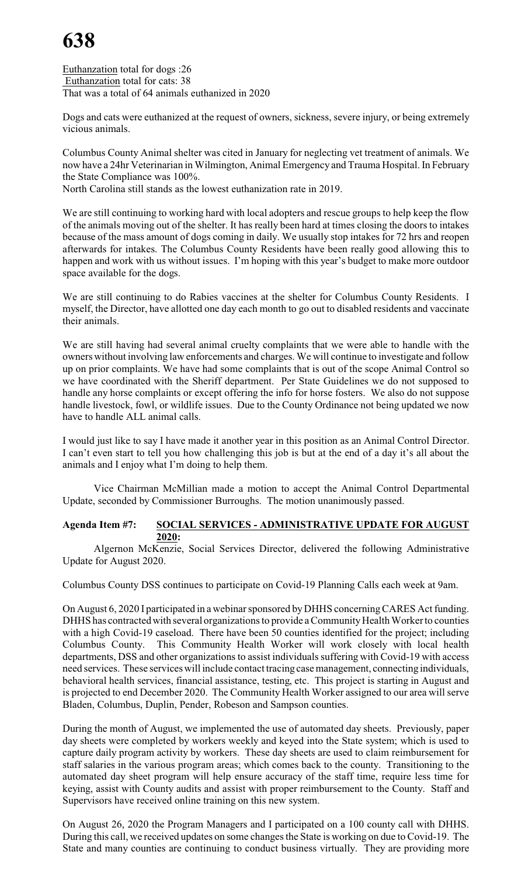Euthanzation total for dogs :26 Euthanzation total for cats: 38 That was a total of 64 animals euthanized in 2020

Dogs and cats were euthanized at the request of owners, sickness, severe injury, or being extremely vicious animals.

Columbus County Animal shelter was cited in January for neglecting vet treatment of animals. We now have a 24hr Veterinarian in Wilmington, Animal Emergency and Trauma Hospital. In February the State Compliance was 100%.

North Carolina still stands as the lowest euthanization rate in 2019.

We are still continuing to working hard with local adopters and rescue groups to help keep the flow of the animals moving out of the shelter. It has really been hard at times closing the doors to intakes because of the mass amount of dogs coming in daily. We usually stop intakes for 72 hrs and reopen afterwards for intakes. The Columbus County Residents have been really good allowing this to happen and work with us without issues. I'm hoping with this year's budget to make more outdoor space available for the dogs.

We are still continuing to do Rabies vaccines at the shelter for Columbus County Residents. I myself, the Director, have allotted one day each month to go out to disabled residents and vaccinate their animals.

We are still having had several animal cruelty complaints that we were able to handle with the owners without involving law enforcements and charges. We will continue to investigate and follow up on prior complaints. We have had some complaints that is out of the scope Animal Control so we have coordinated with the Sheriff department. Per State Guidelines we do not supposed to handle any horse complaints or except offering the info for horse fosters. We also do not suppose handle livestock, fowl, or wildlife issues. Due to the County Ordinance not being updated we now have to handle ALL animal calls.

I would just like to say I have made it another year in this position as an Animal Control Director. I can't even start to tell you how challenging this job is but at the end of a day it's all about the animals and I enjoy what I'm doing to help them.

Vice Chairman McMillian made a motion to accept the Animal Control Departmental Update, seconded by Commissioner Burroughs. The motion unanimously passed.

#### **Agenda Item #7: SOCIAL SERVICES - ADMINISTRATIVE UPDATE FOR AUGUST 2020:**

Algernon McKenzie, Social Services Director, delivered the following Administrative Update for August 2020.

Columbus County DSS continues to participate on Covid-19 Planning Calls each week at 9am.

On August 6, 2020 I participated in a webinar sponsored byDHHS concerningCARES Act funding. DHHS has contracted with several organizations to provide a Community Health Worker to counties with a high Covid-19 caseload. There have been 50 counties identified for the project; including Columbus County. This Community Health Worker will work closely with local health departments, DSS and other organizations to assist individuals suffering with Covid-19 with access need services. These services will include contact tracing case management, connecting individuals, behavioral health services, financial assistance, testing, etc. This project is starting in August and is projected to end December 2020. The Community Health Worker assigned to our area will serve Bladen, Columbus, Duplin, Pender, Robeson and Sampson counties.

During the month of August, we implemented the use of automated day sheets. Previously, paper day sheets were completed by workers weekly and keyed into the State system; which is used to capture daily program activity by workers. These day sheets are used to claim reimbursement for staff salaries in the various program areas; which comes back to the county. Transitioning to the automated day sheet program will help ensure accuracy of the staff time, require less time for keying, assist with County audits and assist with proper reimbursement to the County. Staff and Supervisors have received online training on this new system.

On August 26, 2020 the Program Managers and I participated on a 100 county call with DHHS. During this call, we received updates on some changes the State is working on due to Covid-19. The State and many counties are continuing to conduct business virtually. They are providing more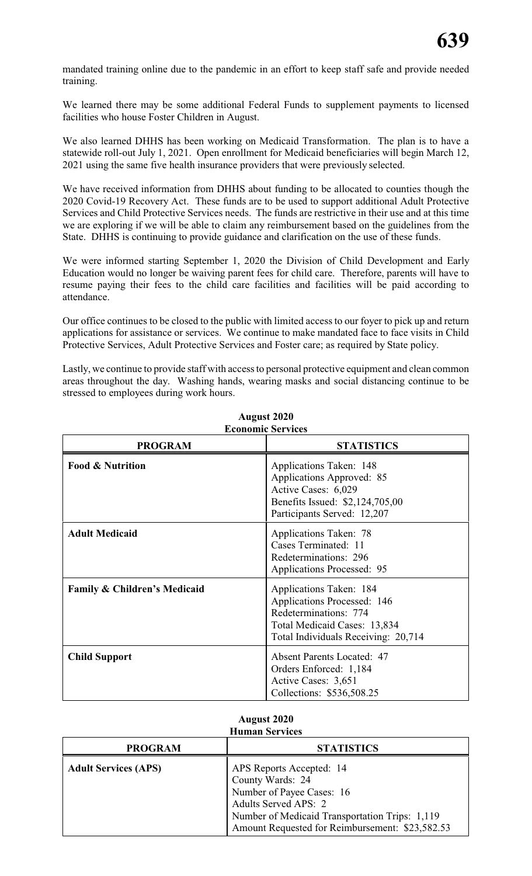mandated training online due to the pandemic in an effort to keep staff safe and provide needed training.

We learned there may be some additional Federal Funds to supplement payments to licensed facilities who house Foster Children in August.

We also learned DHHS has been working on Medicaid Transformation. The plan is to have a statewide roll-out July 1, 2021. Open enrollment for Medicaid beneficiaries will begin March 12, 2021 using the same five health insurance providers that were previously selected.

We have received information from DHHS about funding to be allocated to counties though the 2020 Covid-19 Recovery Act. These funds are to be used to support additional Adult Protective Services and Child Protective Services needs. The funds are restrictive in their use and at this time we are exploring if we will be able to claim any reimbursement based on the guidelines from the State. DHHS is continuing to provide guidance and clarification on the use of these funds.

We were informed starting September 1, 2020 the Division of Child Development and Early Education would no longer be waiving parent fees for child care. Therefore, parents will have to resume paying their fees to the child care facilities and facilities will be paid according to attendance.

Our office continues to be closed to the public with limited access to our foyer to pick up and return applications for assistance or services. We continue to make mandated face to face visits in Child Protective Services, Adult Protective Services and Foster care; as required by State policy.

Lastly, we continue to provide staff with access to personal protective equipment and clean common areas throughout the day. Washing hands, wearing masks and social distancing continue to be stressed to employees during work hours.

| <b>PROGRAM</b>                          | <b>STATISTICS</b>                                                                                                                                      |
|-----------------------------------------|--------------------------------------------------------------------------------------------------------------------------------------------------------|
| <b>Food &amp; Nutrition</b>             | Applications Taken: 148<br>Applications Approved: 85<br>Active Cases: 6,029<br>Benefits Issued: \$2,124,705,00<br>Participants Served: 12,207          |
| <b>Adult Medicaid</b>                   | Applications Taken: 78<br>Cases Terminated: 11<br>Redeterminations: 296<br><b>Applications Processed: 95</b>                                           |
| <b>Family &amp; Children's Medicaid</b> | Applications Taken: 184<br>Applications Processed: 146<br>Redeterminations: 774<br>Total Medicaid Cases: 13,834<br>Total Individuals Receiving: 20,714 |
| <b>Child Support</b>                    | <b>Absent Parents Located: 47</b><br>Orders Enforced: 1,184<br>Active Cases: 3,651<br>Collections: \$536,508.25                                        |

#### **August 2020 Economic Services**

#### **August 2020 Human Services**

| <b>PROGRAM</b>              | <b>STATISTICS</b>                                                                                                                                                                                             |
|-----------------------------|---------------------------------------------------------------------------------------------------------------------------------------------------------------------------------------------------------------|
| <b>Adult Services (APS)</b> | APS Reports Accepted: 14<br>County Wards: 24<br>Number of Payee Cases: 16<br><b>Adults Served APS: 2</b><br>Number of Medicaid Transportation Trips: 1,119<br>Amount Requested for Reimbursement: \$23,582.53 |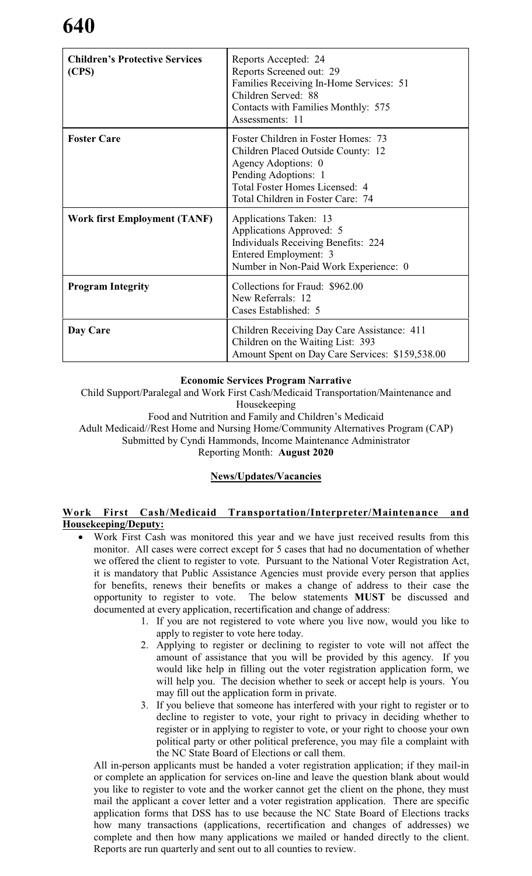| <b>Children's Protective Services</b><br>(CPS) | Reports Accepted: 24<br>Reports Screened out: 29<br>Families Receiving In-Home Services: 51<br>Children Served: 88<br>Contacts with Families Monthly: 575<br>Assessments: 11                    |
|------------------------------------------------|-------------------------------------------------------------------------------------------------------------------------------------------------------------------------------------------------|
| <b>Foster Care</b>                             | Foster Children in Foster Homes: 73<br>Children Placed Outside County: 12<br>Agency Adoptions: 0<br>Pending Adoptions: 1<br>Total Foster Homes Licensed: 4<br>Total Children in Foster Care: 74 |
| <b>Work first Employment (TANF)</b>            | Applications Taken: 13<br>Applications Approved: 5<br>Individuals Receiving Benefits: 224<br>Entered Employment: 3<br>Number in Non-Paid Work Experience: 0                                     |
| <b>Program Integrity</b>                       | Collections for Fraud: \$962.00<br>New Referrals: 12<br>Cases Established: 5                                                                                                                    |
| Day Care                                       | Children Receiving Day Care Assistance: 411<br>Children on the Waiting List: 393<br>Amount Spent on Day Care Services: \$159,538.00                                                             |

#### **Economic Services Program Narrative**

Child Support/Paralegal and Work First Cash/Medicaid Transportation/Maintenance and Housekeeping

Food and Nutrition and Family and Children's Medicaid

Adult Medicaid//Rest Home and Nursing Home/Community Alternatives Program (CAP)

Submitted by Cyndi Hammonds, Income Maintenance Administrator

Reporting Month: **August 2020**

#### **News/Updates/Vacancies**

#### **Work First Cash/Medicaid Transportation/Interpreter/Maintenance and Housekeeping/Deputy:**

- Work First Cash was monitored this year and we have just received results from this monitor. All cases were correct except for 5 cases that had no documentation of whether we offered the client to register to vote. Pursuant to the National Voter Registration Act, it is mandatory that Public Assistance Agencies must provide every person that applies for benefits, renews their benefits or makes a change of address to their case the opportunity to register to vote. The below statements **MUST** be discussed and documented at every application, recertification and change of address:
	- 1. If you are not registered to vote where you live now, would you like to apply to register to vote here today.
	- 2. Applying to register or declining to register to vote will not affect the amount of assistance that you will be provided by this agency. If you would like help in filling out the voter registration application form, we will help you. The decision whether to seek or accept help is yours. You may fill out the application form in private.
	- 3. If you believe that someone has interfered with your right to register or to decline to register to vote, your right to privacy in deciding whether to register or in applying to register to vote, or your right to choose your own political party or other political preference, you may file a complaint with the NC State Board of Elections or call them.

All in-person applicants must be handed a voter registration application; if they mail-in or complete an application for services on-line and leave the question blank about would you like to register to vote and the worker cannot get the client on the phone, they must mail the applicant a cover letter and a voter registration application. There are specific application forms that DSS has to use because the NC State Board of Elections tracks how many transactions (applications, recertification and changes of addresses) we complete and then how many applications we mailed or handed directly to the client. Reports are run quarterly and sent out to all counties to review.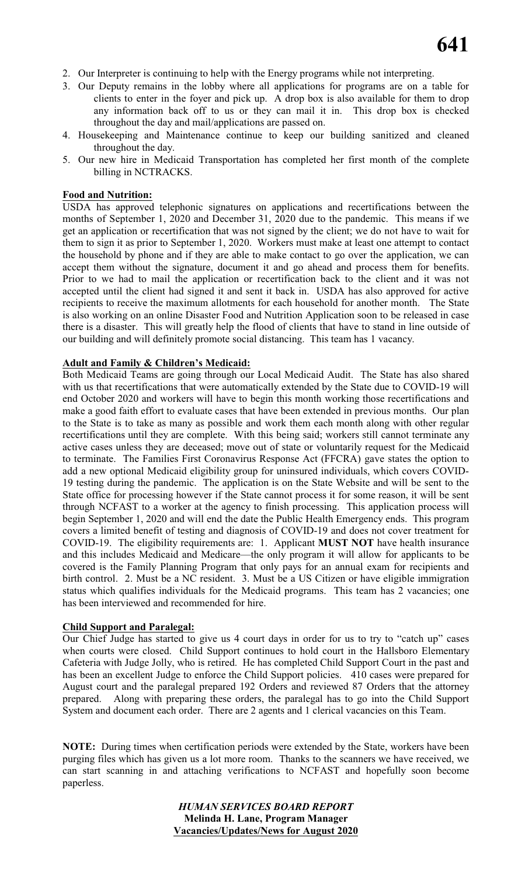- 2. Our Interpreter is continuing to help with the Energy programs while not interpreting.
- 3. Our Deputy remains in the lobby where all applications for programs are on a table for clients to enter in the foyer and pick up. A drop box is also available for them to drop any information back off to us or they can mail it in. This drop box is checked throughout the day and mail/applications are passed on.
- 4. Housekeeping and Maintenance continue to keep our building sanitized and cleaned throughout the day.
- 5. Our new hire in Medicaid Transportation has completed her first month of the complete billing in NCTRACKS.

#### **Food and Nutrition:**

USDA has approved telephonic signatures on applications and recertifications between the months of September 1, 2020 and December 31, 2020 due to the pandemic. This means if we get an application or recertification that was not signed by the client; we do not have to wait for them to sign it as prior to September 1, 2020. Workers must make at least one attempt to contact the household by phone and if they are able to make contact to go over the application, we can accept them without the signature, document it and go ahead and process them for benefits. Prior to we had to mail the application or recertification back to the client and it was not accepted until the client had signed it and sent it back in. USDA has also approved for active recipients to receive the maximum allotments for each household for another month. The State is also working on an online Disaster Food and Nutrition Application soon to be released in case there is a disaster. This will greatly help the flood of clients that have to stand in line outside of our building and will definitely promote social distancing. This team has 1 vacancy.

#### **Adult and Family & Children's Medicaid:**

Both Medicaid Teams are going through our Local Medicaid Audit. The State has also shared with us that recertifications that were automatically extended by the State due to COVID-19 will end October 2020 and workers will have to begin this month working those recertifications and make a good faith effort to evaluate cases that have been extended in previous months. Our plan to the State is to take as many as possible and work them each month along with other regular recertifications until they are complete. With this being said; workers still cannot terminate any active cases unless they are deceased; move out of state or voluntarily request for the Medicaid to terminate. The Families First Coronavirus Response Act (FFCRA) gave states the option to add a new optional Medicaid eligibility group for uninsured individuals, which covers COVID-19 testing during the pandemic. The application is on the State Website and will be sent to the State office for processing however if the State cannot process it for some reason, it will be sent through NCFAST to a worker at the agency to finish processing. This application process will begin September 1, 2020 and will end the date the Public Health Emergency ends. This program covers a limited benefit of testing and diagnosis of COVID-19 and does not cover treatment for COVID-19. The eligibility requirements are: 1. Applicant **MUST NOT** have health insurance and this includes Medicaid and Medicare—the only program it will allow for applicants to be covered is the Family Planning Program that only pays for an annual exam for recipients and birth control. 2. Must be a NC resident. 3. Must be a US Citizen or have eligible immigration status which qualifies individuals for the Medicaid programs. This team has 2 vacancies; one has been interviewed and recommended for hire.

#### **Child Support and Paralegal:**

Our Chief Judge has started to give us 4 court days in order for us to try to "catch up" cases when courts were closed. Child Support continues to hold court in the Hallsboro Elementary Cafeteria with Judge Jolly, who is retired. He has completed Child Support Court in the past and has been an excellent Judge to enforce the Child Support policies. 410 cases were prepared for August court and the paralegal prepared 192 Orders and reviewed 87 Orders that the attorney prepared. Along with preparing these orders, the paralegal has to go into the Child Support System and document each order. There are 2 agents and 1 clerical vacancies on this Team.

**NOTE:** During times when certification periods were extended by the State, workers have been purging files which has given us a lot more room. Thanks to the scanners we have received, we can start scanning in and attaching verifications to NCFAST and hopefully soon become paperless.

> *HUMAN SERVICES BOARD REPORT* **Melinda H. Lane, Program Manager Vacancies/Updates/News for August 2020**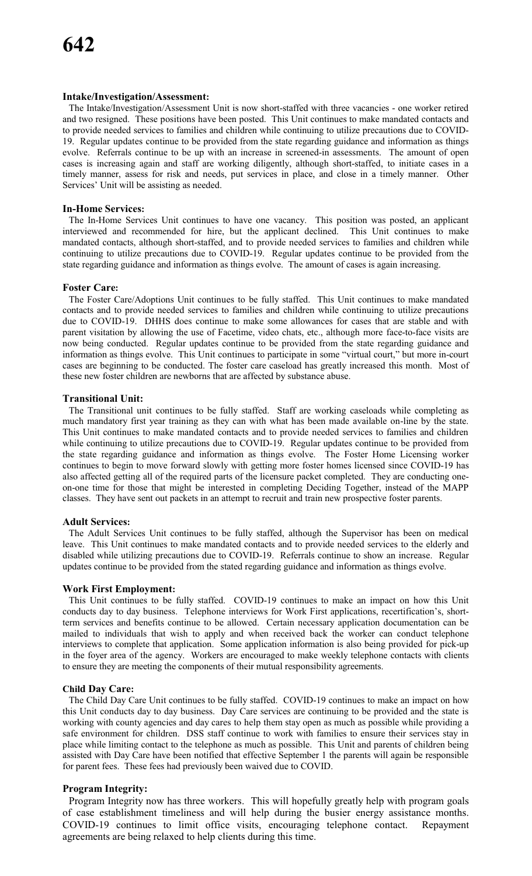#### **Intake/Investigation/Assessment:**

The Intake/Investigation/Assessment Unit is now short-staffed with three vacancies - one worker retired and two resigned. These positions have been posted. This Unit continues to make mandated contacts and to provide needed services to families and children while continuing to utilize precautions due to COVID-19. Regular updates continue to be provided from the state regarding guidance and information as things evolve. Referrals continue to be up with an increase in screened-in assessments. The amount of open cases is increasing again and staff are working diligently, although short-staffed, to initiate cases in a timely manner, assess for risk and needs, put services in place, and close in a timely manner. Other Services' Unit will be assisting as needed.

#### **In-Home Services:**

The In-Home Services Unit continues to have one vacancy. This position was posted, an applicant interviewed and recommended for hire, but the applicant declined. This Unit continues to make mandated contacts, although short-staffed, and to provide needed services to families and children while continuing to utilize precautions due to COVID-19. Regular updates continue to be provided from the state regarding guidance and information as things evolve. The amount of cases is again increasing.

#### **Foster Care:**

The Foster Care/Adoptions Unit continues to be fully staffed. This Unit continues to make mandated contacts and to provide needed services to families and children while continuing to utilize precautions due to COVID-19. DHHS does continue to make some allowances for cases that are stable and with parent visitation by allowing the use of Facetime, video chats, etc., although more face-to-face visits are now being conducted. Regular updates continue to be provided from the state regarding guidance and information as things evolve. This Unit continues to participate in some "virtual court," but more in-court cases are beginning to be conducted. The foster care caseload has greatly increased this month. Most of these new foster children are newborns that are affected by substance abuse.

#### **Transitional Unit:**

The Transitional unit continues to be fully staffed. Staff are working caseloads while completing as much mandatory first year training as they can with what has been made available on-line by the state. This Unit continues to make mandated contacts and to provide needed services to families and children while continuing to utilize precautions due to COVID-19. Regular updates continue to be provided from the state regarding guidance and information as things evolve. The Foster Home Licensing worker continues to begin to move forward slowly with getting more foster homes licensed since COVID-19 has also affected getting all of the required parts of the licensure packet completed. They are conducting oneon-one time for those that might be interested in completing Deciding Together, instead of the MAPP classes. They have sent out packets in an attempt to recruit and train new prospective foster parents.

#### **Adult Services:**

The Adult Services Unit continues to be fully staffed, although the Supervisor has been on medical leave. This Unit continues to make mandated contacts and to provide needed services to the elderly and disabled while utilizing precautions due to COVID-19. Referrals continue to show an increase. Regular updates continue to be provided from the stated regarding guidance and information as things evolve.

#### **Work First Employment:**

This Unit continues to be fully staffed. COVID-19 continues to make an impact on how this Unit conducts day to day business. Telephone interviews for Work First applications, recertification's, shortterm services and benefits continue to be allowed. Certain necessary application documentation can be mailed to individuals that wish to apply and when received back the worker can conduct telephone interviews to complete that application. Some application information is also being provided for pick-up in the foyer area of the agency. Workers are encouraged to make weekly telephone contacts with clients to ensure they are meeting the components of their mutual responsibility agreements.

#### **Child Day Care:**

The Child Day Care Unit continues to be fully staffed. COVID-19 continues to make an impact on how this Unit conducts day to day business. Day Care services are continuing to be provided and the state is working with county agencies and day cares to help them stay open as much as possible while providing a safe environment for children. DSS staff continue to work with families to ensure their services stay in place while limiting contact to the telephone as much as possible. This Unit and parents of children being assisted with Day Care have been notified that effective September 1 the parents will again be responsible for parent fees. These fees had previously been waived due to COVID.

#### **Program Integrity:**

Program Integrity now has three workers. This will hopefully greatly help with program goals of case establishment timeliness and will help during the busier energy assistance months. COVID-19 continues to limit office visits, encouraging telephone contact. Repayment agreements are being relaxed to help clients during this time.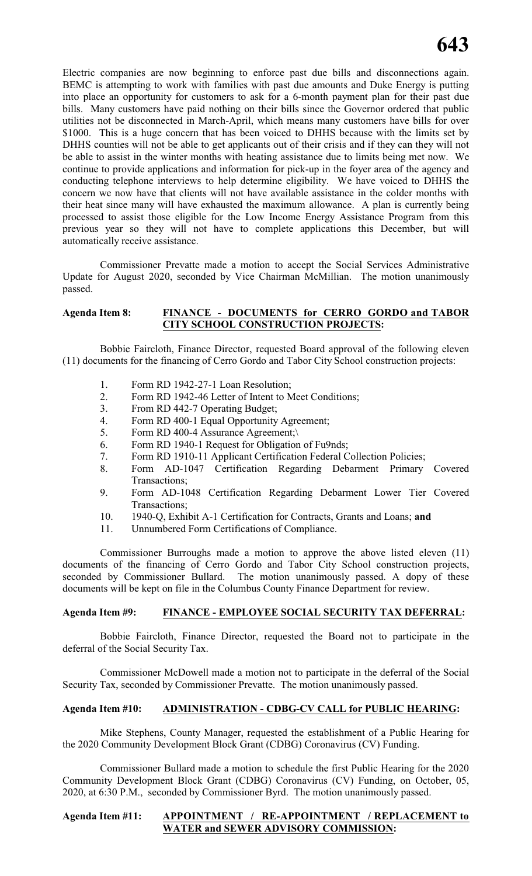Electric companies are now beginning to enforce past due bills and disconnections again. BEMC is attempting to work with families with past due amounts and Duke Energy is putting into place an opportunity for customers to ask for a 6-month payment plan for their past due bills. Many customers have paid nothing on their bills since the Governor ordered that public utilities not be disconnected in March-April, which means many customers have bills for over \$1000. This is a huge concern that has been voiced to DHHS because with the limits set by DHHS counties will not be able to get applicants out of their crisis and if they can they will not be able to assist in the winter months with heating assistance due to limits being met now. We continue to provide applications and information for pick-up in the foyer area of the agency and conducting telephone interviews to help determine eligibility. We have voiced to DHHS the concern we now have that clients will not have available assistance in the colder months with their heat since many will have exhausted the maximum allowance. A plan is currently being processed to assist those eligible for the Low Income Energy Assistance Program from this previous year so they will not have to complete applications this December, but will automatically receive assistance.

Commissioner Prevatte made a motion to accept the Social Services Administrative Update for August 2020, seconded by Vice Chairman McMillian. The motion unanimously passed.

#### **Agenda Item 8: FINANCE - DOCUMENTS for CERRO GORDO and TABOR CITY SCHOOL CONSTRUCTION PROJECTS:**

Bobbie Faircloth, Finance Director, requested Board approval of the following eleven (11) documents for the financing of Cerro Gordo and Tabor City School construction projects:

- 1. Form RD 1942-27-1 Loan Resolution;
- 2. Form RD 1942-46 Letter of Intent to Meet Conditions;
- 3. From RD 442-7 Operating Budget;
- 4. Form RD 400-1 Equal Opportunity Agreement;
- 5. Form RD 400-4 Assurance Agreement;\
- 6. Form RD 1940-1 Request for Obligation of Fu9nds;
- 7. Form RD 1910-11 Applicant Certification Federal Collection Policies;
- 8. Form AD-1047 Certification Regarding Debarment Primary Covered Transactions;
- 9. Form AD-1048 Certification Regarding Debarment Lower Tier Covered Transactions;
- 10. 1940-Q, Exhibit A-1 Certification for Contracts, Grants and Loans; **and**
- 11. Unnumbered Form Certifications of Compliance.

Commissioner Burroughs made a motion to approve the above listed eleven (11) documents of the financing of Cerro Gordo and Tabor City School construction projects, seconded by Commissioner Bullard. The motion unanimously passed. A dopy of these documents will be kept on file in the Columbus County Finance Department for review.

#### **Agenda Item #9: FINANCE - EMPLOYEE SOCIAL SECURITY TAX DEFERRAL:**

Bobbie Faircloth, Finance Director, requested the Board not to participate in the deferral of the Social Security Tax.

Commissioner McDowell made a motion not to participate in the deferral of the Social Security Tax, seconded by Commissioner Prevatte. The motion unanimously passed.

#### **Agenda Item #10: ADMINISTRATION - CDBG-CV CALL for PUBLIC HEARING:**

Mike Stephens, County Manager, requested the establishment of a Public Hearing for the 2020 Community Development Block Grant (CDBG) Coronavirus (CV) Funding.

Commissioner Bullard made a motion to schedule the first Public Hearing for the 2020 Community Development Block Grant (CDBG) Coronavirus (CV) Funding, on October, 05, 2020, at 6:30 P.M., seconded by Commissioner Byrd. The motion unanimously passed.

#### **Agenda Item #11: APPOINTMENT / RE-APPOINTMENT / REPLACEMENT to WATER and SEWER ADVISORY COMMISSION:**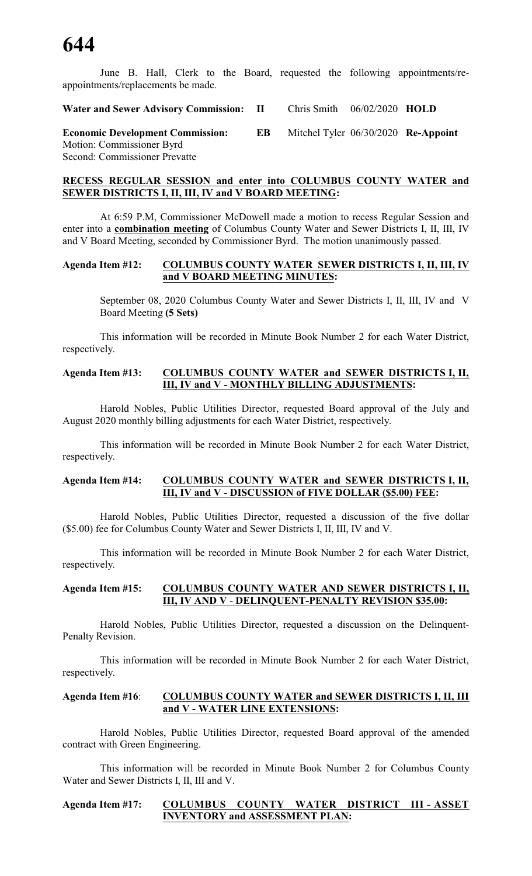June B. Hall, Clerk to the Board, requested the following appointments/reappointments/replacements be made.

**Water and Sewer Advisory Commission: II** Chris Smith 06/02/2020 **HOLD**

**Economic Development Commission: EB** Mitchel Tyler 06/30/2020 **Re-Appoint** Motion: Commissioner Byrd Second: Commissioner Prevatte

#### **RECESS REGULAR SESSION and enter into COLUMBUS COUNTY WATER and SEWER DISTRICTS I, II, III, IV and V BOARD MEETING:**

At 6:59 P.M, Commissioner McDowell made a motion to recess Regular Session and enter into a **combination meeting** of Columbus County Water and Sewer Districts I, II, III, IV and V Board Meeting, seconded by Commissioner Byrd. The motion unanimously passed.

#### **Agenda Item #12: COLUMBUS COUNTY WATER SEWER DISTRICTS I, II, III, IV and V BOARD MEETING MINUTES:**

September 08, 2020 Columbus County Water and Sewer Districts I, II, III, IV and V Board Meeting **(5 Sets)**

This information will be recorded in Minute Book Number 2 for each Water District, respectively.

#### **Agenda Item #13: COLUMBUS COUNTY WATER and SEWER DISTRICTS I, II, III, IV and V - MONTHLY BILLING ADJUSTMENTS:**

Harold Nobles, Public Utilities Director, requested Board approval of the July and August 2020 monthly billing adjustments for each Water District, respectively.

This information will be recorded in Minute Book Number 2 for each Water District, respectively.

#### **Agenda Item #14: COLUMBUS COUNTY WATER and SEWER DISTRICTS I, II, III, IV and V - DISCUSSION of FIVE DOLLAR (\$5.00) FEE:**

Harold Nobles, Public Utilities Director, requested a discussion of the five dollar (\$5.00) fee for Columbus County Water and Sewer Districts I, II, III, IV and V.

This information will be recorded in Minute Book Number 2 for each Water District, respectively.

#### **Agenda Item #15: COLUMBUS COUNTY WATER AND SEWER DISTRICTS I, II, III, IV AND V** - **DELINQUENT-PENALTY REVISION \$35.00:**

Harold Nobles, Public Utilities Director, requested a discussion on the Delinquent-Penalty Revision.

This information will be recorded in Minute Book Number 2 for each Water District, respectively.

#### **Agenda Item #16**: **COLUMBUS COUNTY WATER and SEWER DISTRICTS I, II, III and V - WATER LINE EXTENSIONS:**

Harold Nobles, Public Utilities Director, requested Board approval of the amended contract with Green Engineering.

This information will be recorded in Minute Book Number 2 for Columbus County Water and Sewer Districts I, II, III and V.

#### **Agenda Item #17: COLUMBUS COUNTY WATER DISTRICT III - ASSET INVENTORY and ASSESSMENT PLAN:**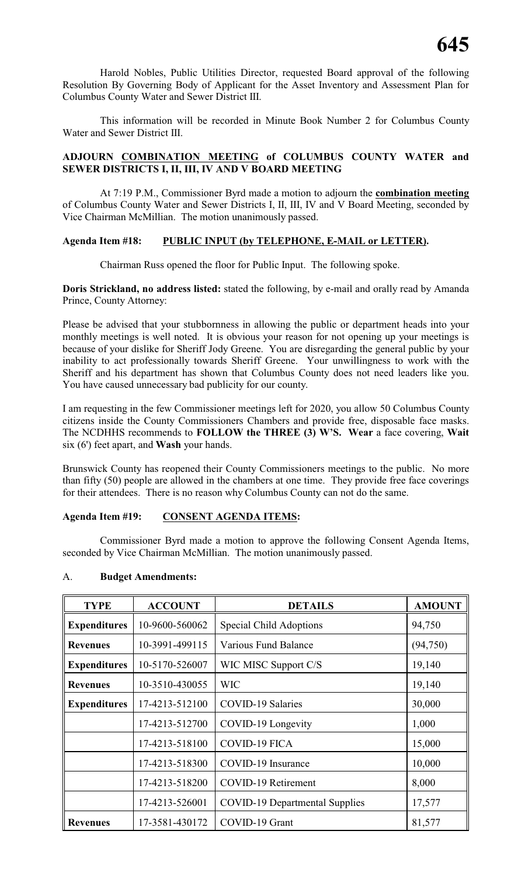Harold Nobles, Public Utilities Director, requested Board approval of the following Resolution By Governing Body of Applicant for the Asset Inventory and Assessment Plan for Columbus County Water and Sewer District III.

This information will be recorded in Minute Book Number 2 for Columbus County Water and Sewer District III.

#### **ADJOURN COMBINATION MEETING of COLUMBUS COUNTY WATER and SEWER DISTRICTS I, II, III, IV AND V BOARD MEETING**

At 7:19 P.M., Commissioner Byrd made a motion to adjourn the **combination meeting** of Columbus County Water and Sewer Districts I, II, III, IV and V Board Meeting, seconded by Vice Chairman McMillian. The motion unanimously passed.

#### **Agenda Item #18: PUBLIC INPUT (by TELEPHONE, E-MAIL or LETTER).**

Chairman Russ opened the floor for Public Input. The following spoke.

**Doris Strickland, no address listed:** stated the following, by e-mail and orally read by Amanda Prince, County Attorney:

Please be advised that your stubbornness in allowing the public or department heads into your monthly meetings is well noted. It is obvious your reason for not opening up your meetings is because of your dislike for Sheriff Jody Greene. You are disregarding the general public by your inability to act professionally towards Sheriff Greene. Your unwillingness to work with the Sheriff and his department has shown that Columbus County does not need leaders like you. You have caused unnecessary bad publicity for our county.

I am requesting in the few Commissioner meetings left for 2020, you allow 50 Columbus County citizens inside the County Commissioners Chambers and provide free, disposable face masks. The NCDHHS recommends to **FOLLOW the THREE (3) W'S. Wear** a face covering, **Wait** six (6') feet apart, and **Wash** your hands.

Brunswick County has reopened their County Commissioners meetings to the public. No more than fifty (50) people are allowed in the chambers at one time. They provide free face coverings for their attendees. There is no reason why Columbus County can not do the same.

#### **Agenda Item #19: CONSENT AGENDA ITEMS:**

Commissioner Byrd made a motion to approve the following Consent Agenda Items, seconded by Vice Chairman McMillian. The motion unanimously passed.

| <b>TYPE</b>                           | <b>ACCOUNT</b>                               | <b>DETAILS</b>                        | <b>AMOUNT</b> |
|---------------------------------------|----------------------------------------------|---------------------------------------|---------------|
| <b>Expenditures</b><br>10-9600-560062 |                                              | <b>Special Child Adoptions</b>        | 94,750        |
| <b>Revenues</b>                       | 10-3991-499115                               | Various Fund Balance                  | (94, 750)     |
| <b>Expenditures</b>                   | 10-5170-526007                               | WIC MISC Support C/S                  | 19,140        |
| <b>Revenues</b>                       | 10-3510-430055                               | <b>WIC</b>                            | 19,140        |
| 17-4213-512100<br><b>Expenditures</b> |                                              | <b>COVID-19 Salaries</b>              | 30,000        |
|                                       | 17-4213-512700                               | COVID-19 Longevity                    | 1,000         |
|                                       | 17-4213-518100                               | COVID-19 FICA                         | 15,000        |
|                                       | 17-4213-518300                               | COVID-19 Insurance                    | 10,000        |
|                                       | <b>COVID-19 Retirement</b><br>17-4213-518200 |                                       | 8,000         |
|                                       | 17-4213-526001                               | <b>COVID-19 Departmental Supplies</b> | 17,577        |
| <b>Revenues</b>                       | 17-3581-430172                               | COVID-19 Grant                        | 81,577        |

### A. **Budget Amendments:**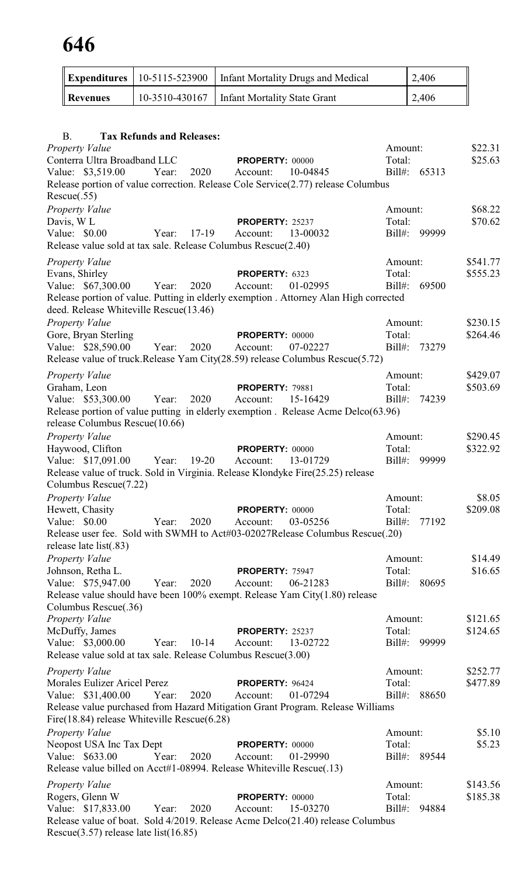| <b>Expenditures</b>                                | 10-5115-523900                                    | <b>Infant Mortality Drugs and Medical</b>                                                            |                     | 2,406        |                      |
|----------------------------------------------------|---------------------------------------------------|------------------------------------------------------------------------------------------------------|---------------------|--------------|----------------------|
| <b>Revenues</b>                                    | 10-3510-430167                                    | <b>Infant Mortality State Grant</b>                                                                  |                     | 2,406        |                      |
|                                                    |                                                   |                                                                                                      |                     |              |                      |
| <b>B.</b>                                          | <b>Tax Refunds and Releases:</b>                  |                                                                                                      |                     |              |                      |
| <b>Property Value</b>                              |                                                   |                                                                                                      | Amount:             |              | \$22.31              |
| Conterra Ultra Broadband LLC                       |                                                   | <b>PROPERTY: 00000</b>                                                                               | Total:              |              | \$25.63              |
| Value: \$3,519.00                                  | Year:<br>2020                                     | Account:<br>10-04845                                                                                 |                     | Bill#: 65313 |                      |
| Rescue(.55)                                        |                                                   | Release portion of value correction. Release Cole Service(2.77) release Columbus                     |                     |              |                      |
| <b>Property Value</b>                              |                                                   |                                                                                                      | Amount:             |              | \$68.22              |
| Davis, W <sub>L</sub>                              |                                                   | <b>PROPERTY: 25237</b>                                                                               | Total:              |              | \$70.62              |
| Value: \$0.00                                      | $17-19$<br>Year:                                  | Account:<br>13-00032                                                                                 | Bill#:              | 99999        |                      |
|                                                    |                                                   | Release value sold at tax sale. Release Columbus Rescue(2.40)                                        |                     |              |                      |
| <b>Property Value</b>                              |                                                   |                                                                                                      | Amount:             |              | \$541.77             |
| Evans, Shirley<br>Value: \$67,300.00               | 2020<br>Year:                                     | PROPERTY: 6323<br>01-02995<br>Account:                                                               | Total:<br>$Bill#$ : | 69500        | \$555.23             |
|                                                    |                                                   | Release portion of value. Putting in elderly exemption . Attorney Alan High corrected                |                     |              |                      |
|                                                    | deed. Release Whiteville Rescue(13.46)            |                                                                                                      |                     |              |                      |
| Property Value                                     |                                                   |                                                                                                      | Amount:             |              | \$230.15             |
| Gore, Bryan Sterling                               |                                                   | <b>PROPERTY: 00000</b>                                                                               | Total:              |              | \$264.46             |
| Value: \$28,590.00                                 | 2020<br>Year:                                     | 07-02227<br>Account:<br>Release value of truck.Release Yam City(28.59) release Columbus Rescue(5.72) | $Bill#$ :           | 73279        |                      |
|                                                    |                                                   |                                                                                                      | Amount:             |              | \$429.07             |
| <b>Property Value</b><br>Graham, Leon              |                                                   | <b>PROPERTY: 79881</b>                                                                               | Total:              |              | \$503.69             |
| Value: \$53,300.00                                 | 2020<br>Year:                                     | 15-16429<br>Account:                                                                                 | $Bill#$ :           | 74239        |                      |
|                                                    |                                                   | Release portion of value putting in elderly exemption. Release Acme Delco(63.96)                     |                     |              |                      |
| release Columbus Rescue(10.66)                     |                                                   |                                                                                                      |                     |              |                      |
| Property Value                                     |                                                   |                                                                                                      | Amount:<br>Total:   |              | \$290.45<br>\$322.92 |
| Haywood, Clifton                                   | Value: \$17,091.00 Year: 19-20 Account:           | PROPERTY: 00000<br>13-01729                                                                          |                     | Bill#: 99999 |                      |
|                                                    |                                                   | Release value of truck. Sold in Virginia. Release Klondyke Fire(25.25) release                       |                     |              |                      |
| Columbus Rescue(7.22)                              |                                                   |                                                                                                      |                     |              |                      |
| Property Value                                     |                                                   |                                                                                                      | Amount:             |              | \$8.05               |
| Hewett, Chasity<br>Value: $$0.00$                  |                                                   | PROPERTY: 00000                                                                                      | Total:<br>$Bill#$ : |              | \$209.08             |
|                                                    | 2020<br>Year:                                     | 03-05256<br>Account:<br>Release user fee. Sold with SWMH to Act#03-02027Release Columbus Rescue(.20) |                     | 77192        |                      |
| release late list(.83)                             |                                                   |                                                                                                      |                     |              |                      |
| <b>Property Value</b>                              |                                                   |                                                                                                      | Amount:             |              | \$14.49              |
| Johnson, Retha L.                                  |                                                   | PROPERTY: 75947                                                                                      | Total:              |              | \$16.65              |
| Value: \$75,947.00                                 | 2020<br>Year:                                     | Account:<br>06-21283                                                                                 | $Bill#$ :           | 80695        |                      |
| Columbus Rescue(.36)                               |                                                   | Release value should have been 100% exempt. Release Yam City(1.80) release                           |                     |              |                      |
| <b>Property Value</b>                              |                                                   |                                                                                                      | Amount:             |              | \$121.65             |
| McDuffy, James                                     |                                                   | PROPERTY: 25237                                                                                      | Total:              |              | \$124.65             |
| Value: \$3,000.00                                  | $10 - 14$<br>Year:                                | Account:<br>13-02722                                                                                 | Bill#:              | 99999        |                      |
|                                                    |                                                   | Release value sold at tax sale. Release Columbus Rescue(3.00)                                        |                     |              |                      |
| <b>Property Value</b>                              |                                                   |                                                                                                      | Amount:<br>Total:   |              | \$252.77             |
| Morales Eulizer Aricel Perez<br>Value: \$31,400.00 | 2020<br>Year:                                     | PROPERTY: 96424<br>01-07294<br>Account:                                                              | $Bill#$ :           | 88650        | \$477.89             |
|                                                    |                                                   | Release value purchased from Hazard Mitigation Grant Program. Release Williams                       |                     |              |                      |
|                                                    | Fire $(18.84)$ release Whiteville Rescue $(6.28)$ |                                                                                                      |                     |              |                      |
| <b>Property Value</b>                              |                                                   |                                                                                                      | Amount:             |              | \$5.10               |
| Neopost USA Inc Tax Dept                           |                                                   | <b>PROPERTY: 00000</b>                                                                               | Total:              |              | \$5.23               |
| Value: \$633.00                                    | 2020<br>Year:                                     | Account:<br>01-29990<br>Release value billed on Acct#1-08994. Release Whiteville Rescue(.13)         | $\text{Bill}$ #:    | 89544        |                      |
|                                                    |                                                   |                                                                                                      | Amount:             |              | \$143.56             |
| <b>Property Value</b><br>Rogers, Glenn W           |                                                   | PROPERTY: 00000                                                                                      | Total:              |              | \$185.38             |
| Value: \$17,833.00                                 | 2020<br>Year:                                     | 15-03270<br>Account:                                                                                 | $Bill#$ :           | 94884        |                      |
|                                                    |                                                   | Release value of boat. Sold 4/2019. Release Acme Delco(21.40) release Columbus                       |                     |              |                      |
| Rescue $(3.57)$ release late list $(16.85)$        |                                                   |                                                                                                      |                     |              |                      |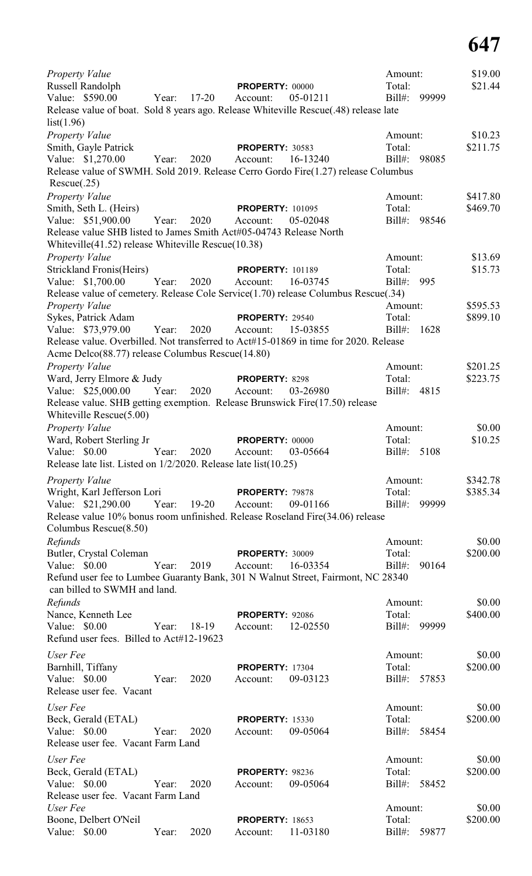| Property Value                                                                                                                           |          | Amount:                |       | \$19.00              |
|------------------------------------------------------------------------------------------------------------------------------------------|----------|------------------------|-------|----------------------|
| Russell Randolph<br>PROPERTY: 00000                                                                                                      |          | Total:                 |       | \$21.44              |
| Value: \$590.00<br>$17 - 20$<br>Year:<br>Account:                                                                                        | 05-01211 | $Bill#$ :              | 99999 |                      |
| Release value of boat. Sold 8 years ago. Release Whiteville Rescue(.48) release late<br>list(1.96)                                       |          |                        |       |                      |
| Property Value                                                                                                                           |          | Amount:                |       | \$10.23              |
| Smith, Gayle Patrick<br><b>PROPERTY: 30583</b>                                                                                           |          | Total:                 |       | \$211.75             |
| Value: \$1,270.00<br>2020<br>Account:<br>Year:<br>Release value of SWMH. Sold 2019. Release Cerro Gordo Fire(1.27) release Columbus      | 16-13240 | $Bill#$ :              | 98085 |                      |
| Rescue(.25)                                                                                                                              |          |                        |       |                      |
| Property Value                                                                                                                           |          | Amount:                |       | \$417.80             |
| Smith, Seth L. (Heirs)<br><b>PROPERTY: 101095</b><br>Value: \$51,900.00<br>Year:<br>2020<br>Account:                                     | 05-02048 | Total:<br>Bill#: 98546 |       | \$469.70             |
| Release value SHB listed to James Smith Act#05-04743 Release North                                                                       |          |                        |       |                      |
| Whiteville(41.52) release Whiteville Rescue(10.38)<br>Property Value                                                                     |          | Amount:                |       | \$13.69              |
| <b>Strickland Fronis(Heirs)</b><br><b>PROPERTY: 101189</b>                                                                               |          | Total:                 |       | \$15.73              |
| Value: \$1,700.00<br>Year:<br>2020<br>Account:                                                                                           | 16-03745 | $Bill#$ :              | 995   |                      |
| Release value of cemetery. Release Cole Service(1.70) release Columbus Rescue(.34)                                                       |          |                        |       |                      |
| Property Value                                                                                                                           |          | Amount:                |       | \$595.53             |
| Sykes, Patrick Adam<br><b>PROPERTY: 29540</b>                                                                                            |          | Total:                 |       | \$899.10             |
| 2020<br>Value: \$73,979.00<br>Year:<br>Account:                                                                                          | 15-03855 | $Bill#$ :              | 1628  |                      |
| Release value. Overbilled. Not transferred to Act#15-01869 in time for 2020. Release<br>Acme Delco(88.77) release Columbus Rescue(14.80) |          |                        |       |                      |
| Property Value                                                                                                                           |          | Amount:                |       | \$201.25             |
| Ward, Jerry Elmore & Judy<br>PROPERTY: 8298                                                                                              |          | Total:                 |       | \$223.75             |
| Value: \$25,000.00<br>Year:<br>2020<br>Account:                                                                                          | 03-26980 | $Bill#$ :              | 4815  |                      |
| Release value. SHB getting exemption. Release Brunswick Fire(17.50) release<br>Whiteville Rescue(5.00)                                   |          |                        |       |                      |
| <b>Property Value</b>                                                                                                                    |          | Amount:                |       | \$0.00               |
| Ward, Robert Sterling Jr<br>PROPERTY: 00000                                                                                              |          | Total:<br>$Bill#$ :    |       | \$10.25              |
| Value: \$0.00<br>2020<br>Year:<br>Account:<br>Release late list. Listed on $1/2/2020$ . Release late list(10.25)                         | 03-05664 |                        | 5108  |                      |
|                                                                                                                                          |          |                        |       |                      |
| Property Value<br>Wright, Karl Jefferson Lori<br>PROPERTY: 79878                                                                         |          | Amount:<br>Total:      |       | \$342.78<br>\$385.34 |
| Value: \$21,290.00<br>Year:<br>$19-20$<br>Account:                                                                                       | 09-01166 | $Bill#$ :              | 99999 |                      |
| Release value 10% bonus room unfinished. Release Roseland Fire(34.06) release                                                            |          |                        |       |                      |
| Columbus Rescue(8.50)                                                                                                                    |          |                        |       |                      |
| Refunds                                                                                                                                  |          | Amount:                |       | \$0.00               |
| Butler, Crystal Coleman<br><b>PROPERTY: 30009</b>                                                                                        |          | Total:                 |       | \$200.00             |
| Value: \$0.00<br>Year:<br>2019<br>Account:                                                                                               | 16-03354 | $Bill#$ :              | 90164 |                      |
| Refund user fee to Lumbee Guaranty Bank, 301 N Walnut Street, Fairmont, NC 28340<br>can billed to SWMH and land.                         |          |                        |       |                      |
| Refunds                                                                                                                                  |          | Amount:                |       | \$0.00               |
| Nance, Kenneth Lee<br><b>PROPERTY: 92086</b>                                                                                             |          | Total:                 |       | \$400.00             |
| Value: \$0.00<br>Year:<br>18-19<br>Account:<br>Refund user fees. Billed to Act#12-19623                                                  | 12-02550 | $Bill#$ :              | 99999 |                      |
| User Fee                                                                                                                                 |          | Amount:                |       | \$0.00               |
| Barnhill, Tiffany<br><b>PROPERTY: 17304</b>                                                                                              |          | Total:                 |       | \$200.00             |
| Value: \$0.00<br>2020<br>Year:<br>Account:                                                                                               | 09-03123 | Bill#: 57853           |       |                      |
| Release user fee. Vacant                                                                                                                 |          |                        |       |                      |
| User Fee                                                                                                                                 |          | Amount:                |       | \$0.00               |
| Beck, Gerald (ETAL)<br><b>PROPERTY: 15330</b>                                                                                            |          | Total:                 |       | \$200.00             |
| Value: \$0.00<br>2020<br>Year:<br>Account:<br>Release user fee. Vacant Farm Land                                                         | 09-05064 | Bill#: 58454           |       |                      |
| User Fee                                                                                                                                 |          | Amount:                |       | \$0.00               |
| Beck, Gerald (ETAL)<br><b>PROPERTY: 98236</b>                                                                                            |          | Total:                 |       | \$200.00             |
| Value: \$0.00<br>2020<br>Year:<br>Account:<br>Release user fee. Vacant Farm Land                                                         | 09-05064 | $Bill#$ :              | 58452 |                      |
| User Fee                                                                                                                                 |          | Amount:                |       | \$0.00               |
| Boone, Delbert O'Neil<br><b>PROPERTY: 18653</b>                                                                                          |          | Total:                 |       | \$200.00             |
| Value: \$0.00<br>2020<br>Year:<br>Account:                                                                                               | 11-03180 | $Bill#$ :              | 59877 |                      |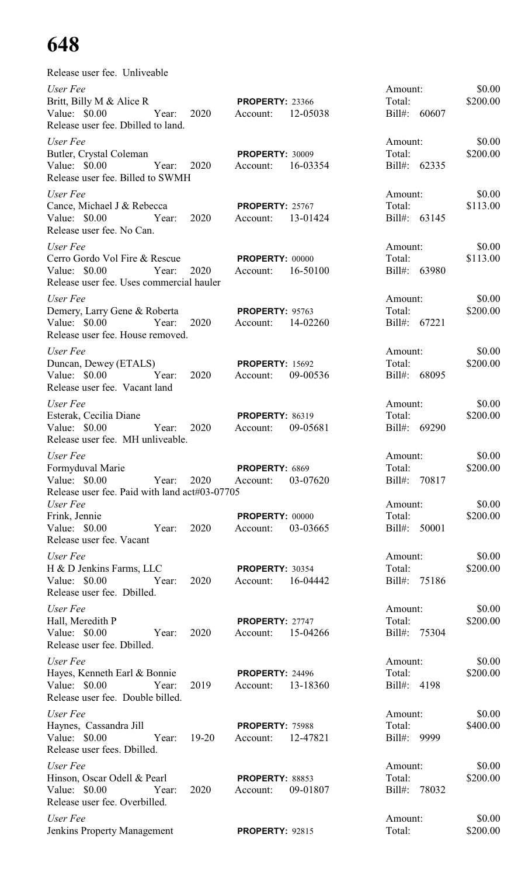| Release user fee. Unliveable                                                                                                                             |           |                                             |          |                                              |        |                              |
|----------------------------------------------------------------------------------------------------------------------------------------------------------|-----------|---------------------------------------------|----------|----------------------------------------------|--------|------------------------------|
| User Fee<br>Britt, Billy M & Alice R<br>Value: \$0.00 Year: 2020<br>Release user fee. Dbilled to land.                                                   |           | <b>PROPERTY: 23366</b><br>Account: 12-05038 |          | Amount:<br>Total:<br>Bill#: 60607            |        | \$0.00<br>\$200.00           |
| User Fee<br>Butler, Crystal Coleman<br>Year: 2020<br>Value: \$0.00<br>Release user fee. Billed to SWMH                                                   |           | <b>PROPERTY: 30009</b><br>Account: 16-03354 |          | Amount:<br>Total:<br>Bill#: 62335            |        | \$0.00<br>\$200.00           |
| User Fee<br>Cance, Michael J & Rebecca<br>Value: \$0.00 		 Year: 2020 	 Account: 13-01424<br>Release user fee. No Can.                                   |           | <b>PROPERTY: 25767</b>                      |          | Amount:<br>Bill#: 63145                      | Total: | \$0.00<br>\$113.00           |
| User Fee<br>Cerro Gordo Vol Fire & Rescue PROPERTY: 00000<br>Value: \$0.00 		 Year: 2020 	 Account: 16-50100<br>Release user fee. Uses commercial hauler |           |                                             |          | Amount:<br>Bill#: 63980                      | Total: | \$0.00<br>\$113.00           |
| User Fee<br>Demery, Larry Gene & Roberta PROPERTY: 95763<br>Value: \$0.00 Year: 2020 Account: 14-02260<br>Release user fee. House removed.               |           |                                             |          | Amount:<br>Bill#: 67221                      | Total: | \$0.00<br>\$200.00           |
| User Fee<br>Duncan, Dewey (ETALS)<br>Release user fee. Vacant land                                                                                       |           | <b>PROPERTY: 15692</b>                      |          | Amount:<br>Total:<br>Bill#: 68095            |        | \$0.00<br>\$200.00           |
| User Fee<br>Esterak, Cecilia Diane<br>Value: \$0.00 Year: 2020 Account:<br>Release user fee. MH unliveable.                                              |           | <b>PROPERTY: 86319</b>                      | 09-05681 | Amount:<br>Bill#: 69290                      | Total: | \$0.00<br>\$200.00           |
| User Fee<br>Formyduval Marie<br>Value: $$0.00$<br>Year:<br>Release user fee. Paid with land act#03-07705<br>User Fee                                     | 2020      | PROPERTY: 6869<br>Account:                  | 03-07620 | Amount:<br>Total:<br>Bill#: 70817<br>Amount: |        | \$0.00<br>\$200.00<br>\$0.00 |
| Frink, Jennie<br>Value: \$0.00<br>Year:<br>Release user fee. Vacant                                                                                      | 2020      | <b>PROPERTY: 00000</b><br>Account:          | 03-03665 | Total:<br>Bill#: 50001                       |        | \$200.00                     |
| User Fee<br>H & D Jenkins Farms, LLC<br>Value: $$0.00$<br>Year:<br>Release user fee. Dbilled.                                                            | 2020      | <b>PROPERTY: 30354</b><br>Account:          | 16-04442 | Amount:<br>Total:<br>Bill#: 75186            |        | \$0.00<br>\$200.00           |
| User Fee<br>Hall, Meredith P<br>Value: $$0.00$<br>Year:<br>Release user fee. Dbilled.                                                                    | 2020      | PROPERTY: 27747<br>Account:                 | 15-04266 | Amount:<br>Total:<br>Bill#: 75304            |        | \$0.00<br>\$200.00           |
| User Fee<br>Hayes, Kenneth Earl & Bonnie<br>Value: \$0.00<br>Year:<br>Release user fee. Double billed.                                                   | 2019      | <b>PROPERTY: 24496</b><br>Account:          | 13-18360 | Amount:<br>Total:<br>Bill#: 4198             |        | \$0.00<br>\$200.00           |
| User Fee<br>Haynes, Cassandra Jill<br>Value: $$0.00$<br>Year:<br>Release user fees. Dbilled.                                                             | $19 - 20$ | PROPERTY: 75988<br>Account:                 | 12-47821 | Amount:<br>Total:<br>$Bill#$ :               | 9999   | \$0.00<br>\$400.00           |
| User Fee<br>Hinson, Oscar Odell & Pearl<br>Value: $$0.00$<br>Year:<br>Release user fee. Overbilled.                                                      | 2020      | <b>PROPERTY: 88853</b><br>Account:          | 09-01807 | Amount:<br>Total:<br>$Bill#$ :               | 78032  | \$0.00<br>\$200.00           |
| User Fee<br><b>Jenkins Property Management</b>                                                                                                           |           | <b>PROPERTY: 92815</b>                      |          | Amount:<br>Total:                            |        | \$0.00<br>\$200.00           |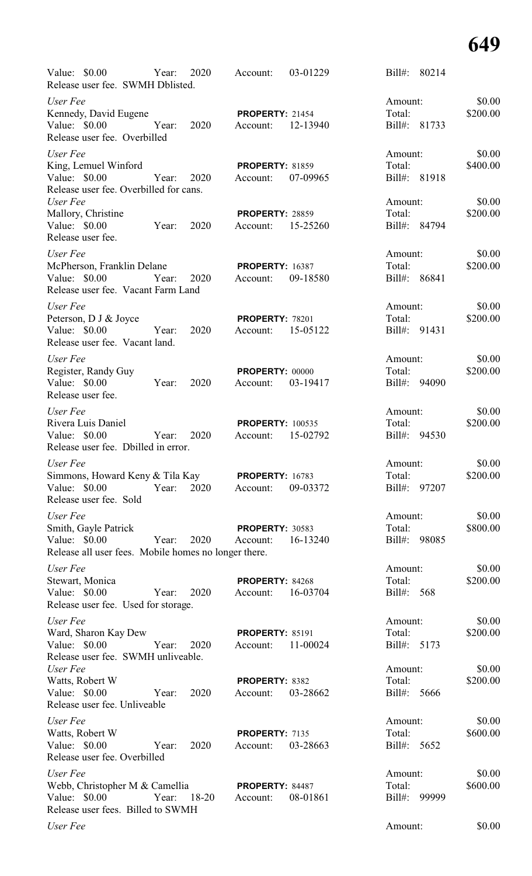| Value: \$0.00<br>Release user fee. SWMH Dblisted.                                                         | Year: | 2020  | Account:                            | 03-01229 | $Bill#$ :                       | 80214        |                    |
|-----------------------------------------------------------------------------------------------------------|-------|-------|-------------------------------------|----------|---------------------------------|--------------|--------------------|
| User Fee<br>Kennedy, David Eugene<br>Value: \$0.00<br>Release user fee. Overbilled                        | Year: | 2020  | <b>PROPERTY: 21454</b><br>Account:  | 12-13940 | Amount:<br>Total:<br>Bill#:     | 81733        | \$0.00<br>\$200.00 |
| User Fee<br>King, Lemuel Winford<br>Value: \$0.00<br>Release user fee. Overbilled for cans.               | Year: | 2020  | <b>PROPERTY: 81859</b><br>Account:  | 07-09965 | Amount:<br>Total:               | Bill#: 81918 | \$0.00<br>\$400.00 |
| User Fee<br>Mallory, Christine<br>Value: \$0.00<br>Release user fee.                                      | Year: | 2020  | <b>PROPERTY: 28859</b><br>Account:  | 15-25260 | Amount:<br>Total:               | Bill#: 84794 | \$0.00<br>\$200.00 |
| User Fee<br>McPherson, Franklin Delane<br>Value: \$0.00<br>Release user fee. Vacant Farm Land             | Year: | 2020  | <b>PROPERTY: 16387</b><br>Account:  | 09-18580 | Amount:<br>Total:<br>$Bill#$ :  | 86841        | \$0.00<br>\$200.00 |
| User Fee<br>Peterson, D J & Joyce<br>Value: \$0.00<br>Release user fee. Vacant land.                      | Year: | 2020  | <b>PROPERTY: 78201</b><br>Account:  | 15-05122 | Amount:<br>Total:<br>Bill#:     | 91431        | \$0.00<br>\$200.00 |
| User Fee<br>Register, Randy Guy<br>Value: \$0.00<br>Release user fee.                                     | Year: | 2020  | PROPERTY: 00000<br>Account:         | 03-19417 | Amount:<br>Total:<br>Bill#:     | 94090        | \$0.00<br>\$200.00 |
| User Fee<br>Rivera Luis Daniel<br>Value: \$0.00<br>Release user fee. Dbilled in error.                    | Year: | 2020  | <b>PROPERTY: 100535</b><br>Account: | 15-02792 | Amount:<br>Total:<br>$Bill#$ :  | 94530        | \$0.00<br>\$200.00 |
| User Fee<br>Simmons, Howard Keny & Tila Kay<br>Value: \$0.00<br>Release user fee. Sold                    | Year: | 2020  | <b>PROPERTY: 16783</b><br>Account:  | 09-03372 | Amount:<br>Total:<br>Bill#:     | 97207        | \$0.00<br>\$200.00 |
| User Fee<br>Smith, Gayle Patrick<br>Value: \$0.00<br>Release all user fees. Mobile homes no longer there. | Year: | 2020  | <b>PROPERTY: 30583</b><br>Account:  | 16-13240 | Amount:<br>Total:<br>Bill#:     | 98085        | \$0.00<br>\$800.00 |
| User Fee<br>Stewart, Monica<br>Value: \$0.00<br>Release user fee. Used for storage.                       | Year: | 2020  | PROPERTY: 84268<br>Account:         | 16-03704 | Amount:<br>Total:<br>Bill#: 568 |              | \$0.00<br>\$200.00 |
| User Fee<br>Ward, Sharon Kay Dew<br>Value: \$0.00<br>Release user fee. SWMH unliveable.                   | Year: | 2020  | <b>PROPERTY: 85191</b><br>Account:  | 11-00024 | Amount:<br>Total:<br>Bill#:     | 5173         | \$0.00<br>\$200.00 |
| User Fee<br>Watts, Robert W<br>Value: \$0.00<br>Release user fee. Unliveable                              | Year: | 2020  | PROPERTY: 8382<br>Account:          | 03-28662 | Amount:<br>Total:<br>$Bill#$ :  | 5666         | \$0.00<br>\$200.00 |
| User Fee<br>Watts, Robert W<br>Value: \$0.00<br>Release user fee. Overbilled                              | Year: | 2020  | PROPERTY: 7135<br>Account:          | 03-28663 | Amount:<br>Total:<br>$Bill#$ :  | 5652         | \$0.00<br>\$600.00 |
| User Fee<br>Webb, Christopher M & Camellia<br>Value: \$0.00<br>Release user fees. Billed to SWMH          | Year: | 18-20 | <b>PROPERTY: 84487</b><br>Account:  | 08-01861 | Amount:<br>Total:<br>Bill#:     | 99999        | \$0.00<br>\$600.00 |
| User Fee                                                                                                  |       |       |                                     |          | Amount:                         |              | \$0.00             |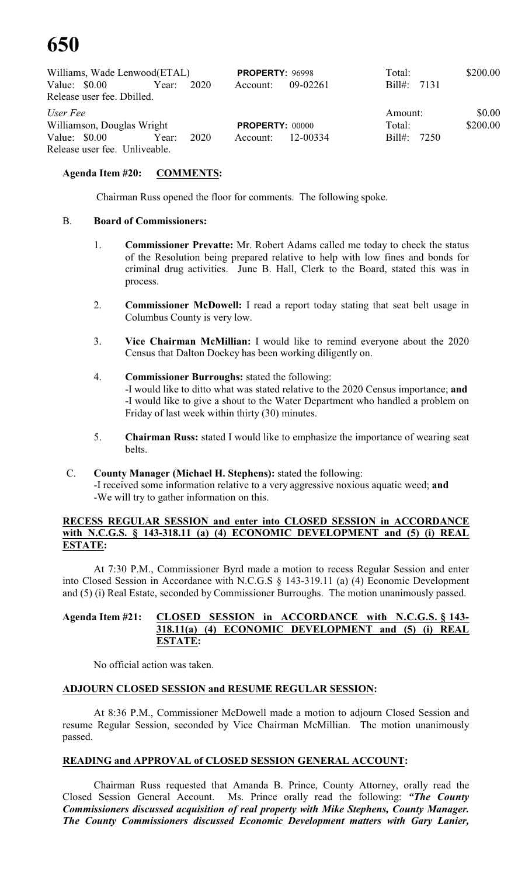|                |       |                                                                                           |                              |          | Total:                                                       | \$200.00                                |
|----------------|-------|-------------------------------------------------------------------------------------------|------------------------------|----------|--------------------------------------------------------------|-----------------------------------------|
| Value: \$0.00  | Year: | 2020                                                                                      | Account:                     | 09-02261 |                                                              |                                         |
|                |       |                                                                                           |                              |          |                                                              |                                         |
| User Fee       |       |                                                                                           |                              |          |                                                              | \$0.00                                  |
|                |       |                                                                                           |                              |          | Total:                                                       | \$200.00                                |
| Value: $$0.00$ | Year: | 2020                                                                                      | Account:                     |          |                                                              |                                         |
|                |       |                                                                                           |                              |          |                                                              |                                         |
|                |       | Release user fee. Dbilled.<br>Williamson, Douglas Wright<br>Release user fee. Unliveable. | Williams, Wade Lenwood(ETAL) |          | <b>PROPERTY: 96998</b><br><b>PROPERTY: 00000</b><br>12-00334 | Bill#: 7131<br>Amount:<br>Bill#: $7250$ |

#### **Agenda Item #20: COMMENTS:**

Chairman Russ opened the floor for comments. The following spoke.

#### B. **Board of Commissioners:**

- 1. **Commissioner Prevatte:** Mr. Robert Adams called me today to check the status of the Resolution being prepared relative to help with low fines and bonds for criminal drug activities. June B. Hall, Clerk to the Board, stated this was in process.
- 2. **Commissioner McDowell:** I read a report today stating that seat belt usage in Columbus County is very low.
- 3. **Vice Chairman McMillian:** I would like to remind everyone about the 2020 Census that Dalton Dockey has been working diligently on.
- 4. **Commissioner Burroughs:** stated the following: -I would like to ditto what was stated relative to the 2020 Census importance; **and** -I would like to give a shout to the Water Department who handled a problem on Friday of last week within thirty (30) minutes.
- 5. **Chairman Russ:** stated I would like to emphasize the importance of wearing seat belts.

#### C. **County Manager (Michael H. Stephens):** stated the following:

-I received some information relative to a very aggressive noxious aquatic weed; **and** -We will try to gather information on this.

#### **RECESS REGULAR SESSION and enter into CLOSED SESSION in ACCORDANCE with N.C.G.S. § 143-318.11 (a) (4) ECONOMIC DEVELOPMENT and (5) (i) REAL ESTATE:**

At 7:30 P.M., Commissioner Byrd made a motion to recess Regular Session and enter into Closed Session in Accordance with N.C.G.S § 143-319.11 (a) (4) Economic Development and (5) (i) Real Estate, seconded by Commissioner Burroughs. The motion unanimously passed.

#### **Agenda Item #21: CLOSED SESSION in ACCORDANCE with N.C.G.S. § 143- 318.11(a) (4) ECONOMIC DEVELOPMENT and (5) (i) REAL ESTATE:**

No official action was taken.

#### **ADJOURN CLOSED SESSION and RESUME REGULAR SESSION:**

At 8:36 P.M., Commissioner McDowell made a motion to adjourn Closed Session and resume Regular Session, seconded by Vice Chairman McMillian. The motion unanimously passed.

#### **READING and APPROVAL of CLOSED SESSION GENERAL ACCOUNT:**

Chairman Russ requested that Amanda B. Prince, County Attorney, orally read the Closed Session General Account. Ms. Prince orally read the following: *"The County Commissioners discussed acquisition of real property with Mike Stephens, County Manager. The County Commissioners discussed Economic Development matters with Gary Lanier,*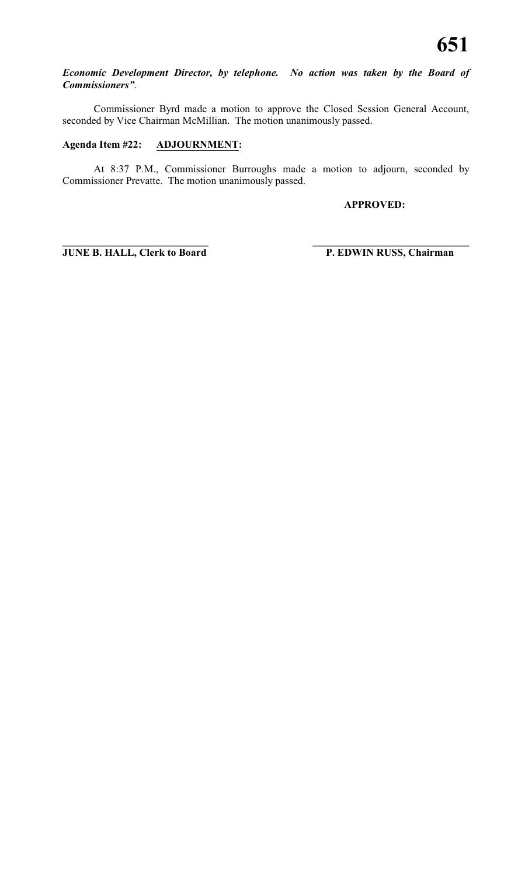#### *Economic Development Director, by telephone. No action was taken by the Board of Commissioners"*.

Commissioner Byrd made a motion to approve the Closed Session General Account, seconded by Vice Chairman McMillian. The motion unanimously passed.

#### **Agenda Item #22: ADJOURNMENT:**

At 8:37 P.M., Commissioner Burroughs made a motion to adjourn, seconded by Commissioner Prevatte. The motion unanimously passed.

**\_\_\_\_\_\_\_\_\_\_\_\_\_\_\_\_\_\_\_\_\_\_\_\_\_\_\_\_ \_\_\_\_\_\_\_\_\_\_\_\_\_\_\_\_\_\_\_\_\_\_\_\_\_\_\_\_\_\_**

**APPROVED:**

**JUNE B. HALL, Clerk to Board P. EDWIN RUSS, Chairman**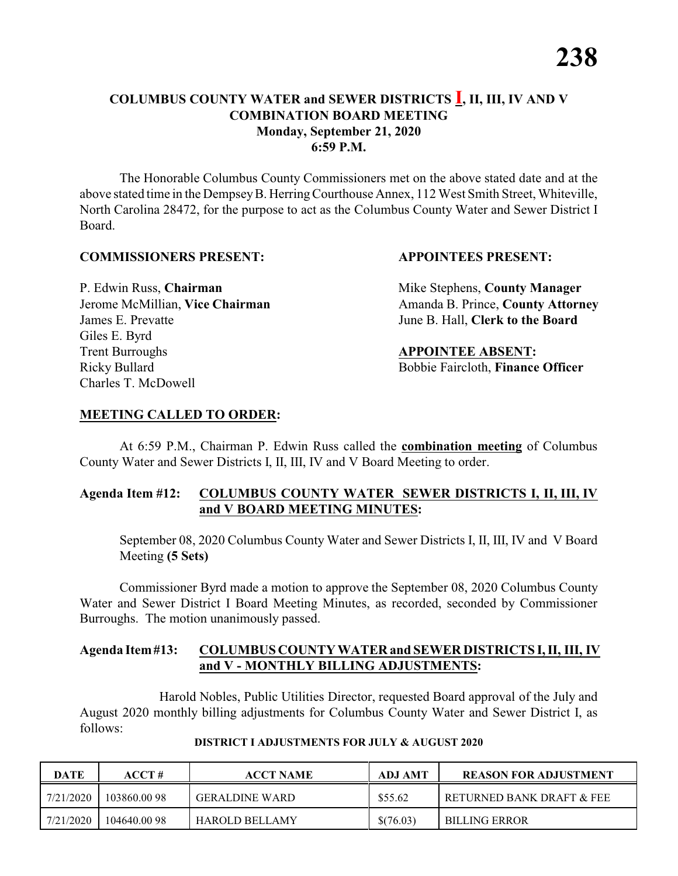#### **COLUMBUS COUNTY WATER and SEWER DISTRICTS I, II, III, IV AND V COMBINATION BOARD MEETING Monday, September 21, 2020 6:59 P.M.**

The Honorable Columbus County Commissioners met on the above stated date and at the above stated time in the DempseyB. HerringCourthouse Annex, 112 West Smith Street, Whiteville, North Carolina 28472, for the purpose to act as the Columbus County Water and Sewer District I Board.

#### **COMMISSIONERS PRESENT: APPOINTEES PRESENT:**

James E. Prevatte June B. Hall, **Clerk to the Board** Giles E. Byrd **Trent Burroughs APPOINTEE ABSENT:** Ricky Bullard **Bobbie Faircloth, Finance Officer** Charles T. McDowell

P. Edwin Russ, **Chairman** Mike Stephens, **County Manager** Jerome McMillian, Vice Chairman Amanda B. Prince, County Attorney

#### **MEETING CALLED TO ORDER:**

At 6:59 P.M., Chairman P. Edwin Russ called the **combination meeting** of Columbus County Water and Sewer Districts I, II, III, IV and V Board Meeting to order.

#### **Agenda Item #12: COLUMBUS COUNTY WATER SEWER DISTRICTS I, II, III, IV and V BOARD MEETING MINUTES:**

September 08, 2020 Columbus County Water and Sewer Districts I, II, III, IV and V Board Meeting **(5 Sets)**

Commissioner Byrd made a motion to approve the September 08, 2020 Columbus County Water and Sewer District I Board Meeting Minutes, as recorded, seconded by Commissioner Burroughs. The motion unanimously passed.

#### **Agenda Item#13: COLUMBUS COUNTY WATER and SEWER DISTRICTS I, II, III, IV and V - MONTHLY BILLING ADJUSTMENTS:**

Harold Nobles, Public Utilities Director, requested Board approval of the July and August 2020 monthly billing adjustments for Columbus County Water and Sewer District I, as follows:

| <b>DATE</b> | ACCT#       | <b>ACCT NAME</b>      | ADJ AMT   | <b>REASON FOR ADJUSTMENT</b> |
|-------------|-------------|-----------------------|-----------|------------------------------|
| 7/21/2020   | 103860.0098 | <b>GERALDINE WARD</b> | \$55.62   | RETURNED BANK DRAFT & FEE    |
| 7/21/2020   | 104640.0098 | <b>HAROLD BELLAMY</b> | \$(76.03) | <b>BILLING ERROR</b>         |

#### **DISTRICT I ADJUSTMENTS FOR JULY & AUGUST 2020**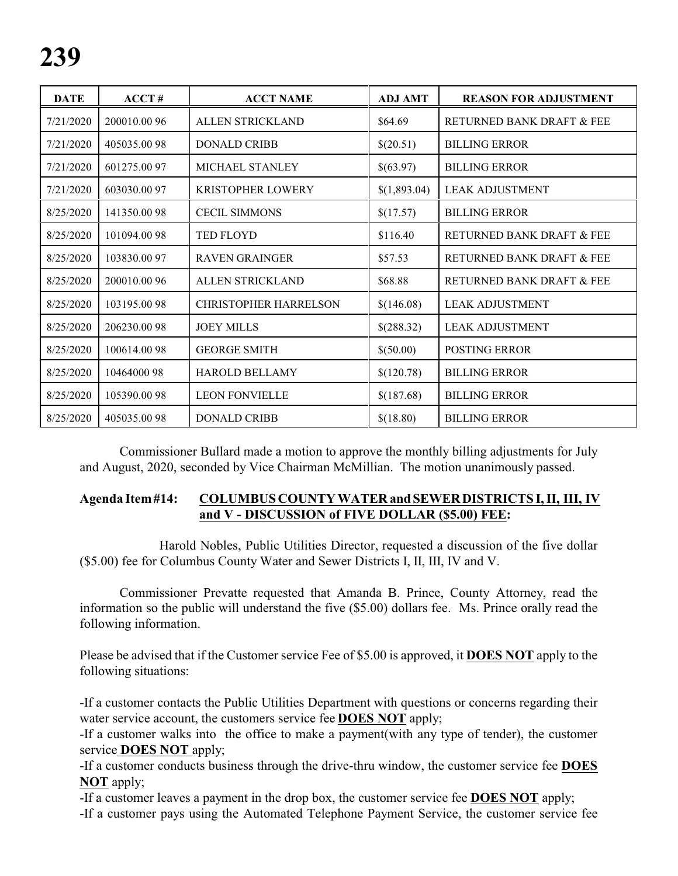| <b>DATE</b> | ACCT#        | <b>ACCT NAME</b>             | <b>ADJ AMT</b> | <b>REASON FOR ADJUSTMENT</b> |
|-------------|--------------|------------------------------|----------------|------------------------------|
| 7/21/2020   | 200010.00 96 | <b>ALLEN STRICKLAND</b>      | \$64.69        | RETURNED BANK DRAFT & FEE    |
| 7/21/2020   | 405035.0098  | <b>DONALD CRIBB</b>          | \$(20.51)      | <b>BILLING ERROR</b>         |
| 7/21/2020   | 601275.0097  | <b>MICHAEL STANLEY</b>       | \$(63.97)      | <b>BILLING ERROR</b>         |
| 7/21/2020   | 603030.0097  | <b>KRISTOPHER LOWERY</b>     | \$(1,893.04)   | <b>LEAK ADJUSTMENT</b>       |
| 8/25/2020   | 141350.0098  | <b>CECIL SIMMONS</b>         | \$(17.57)      | <b>BILLING ERROR</b>         |
| 8/25/2020   | 101094.0098  | <b>TED FLOYD</b>             | \$116.40       | RETURNED BANK DRAFT & FEE    |
| 8/25/2020   | 103830.0097  | <b>RAVEN GRAINGER</b>        | \$57.53        | RETURNED BANK DRAFT & FEE    |
| 8/25/2020   | 200010.00 96 | <b>ALLEN STRICKLAND</b>      | \$68.88        | RETURNED BANK DRAFT & FEE    |
| 8/25/2020   | 103195.0098  | <b>CHRISTOPHER HARRELSON</b> | \$(146.08)     | <b>LEAK ADJUSTMENT</b>       |
| 8/25/2020   | 206230.0098  | <b>JOEY MILLS</b>            | \$(288.32)     | <b>LEAK ADJUSTMENT</b>       |
| 8/25/2020   | 100614.0098  | <b>GEORGE SMITH</b>          | \$(50.00)      | <b>POSTING ERROR</b>         |
| 8/25/2020   | 10464000 98  | <b>HAROLD BELLAMY</b>        | \$(120.78)     | <b>BILLING ERROR</b>         |
| 8/25/2020   | 105390.0098  | <b>LEON FONVIELLE</b>        | \$(187.68)     | <b>BILLING ERROR</b>         |
| 8/25/2020   | 405035.0098  | <b>DONALD CRIBB</b>          | \$(18.80)      | <b>BILLING ERROR</b>         |

Commissioner Bullard made a motion to approve the monthly billing adjustments for July and August, 2020, seconded by Vice Chairman McMillian. The motion unanimously passed.

#### **Agenda Item#14: COLUMBUS COUNTY WATER andSEWERDISTRICTS I, II, III, IV and V - DISCUSSION of FIVE DOLLAR (\$5.00) FEE:**

Harold Nobles, Public Utilities Director, requested a discussion of the five dollar (\$5.00) fee for Columbus County Water and Sewer Districts I, II, III, IV and V.

Commissioner Prevatte requested that Amanda B. Prince, County Attorney, read the information so the public will understand the five (\$5.00) dollars fee. Ms. Prince orally read the following information.

Please be advised that if the Customer service Fee of \$5.00 is approved, it **DOES NOT** apply to the following situations:

-If a customer contacts the Public Utilities Department with questions or concerns regarding their water service account, the customers service fee **DOES NOT** apply;

-If a customer walks into the office to make a payment(with any type of tender), the customer service **DOES NOT** apply;

-If a customer conducts business through the drive-thru window, the customer service fee **DOES NOT** apply;

-If a customer leaves a payment in the drop box, the customer service fee **DOES NOT** apply;

-If a customer pays using the Automated Telephone Payment Service, the customer service fee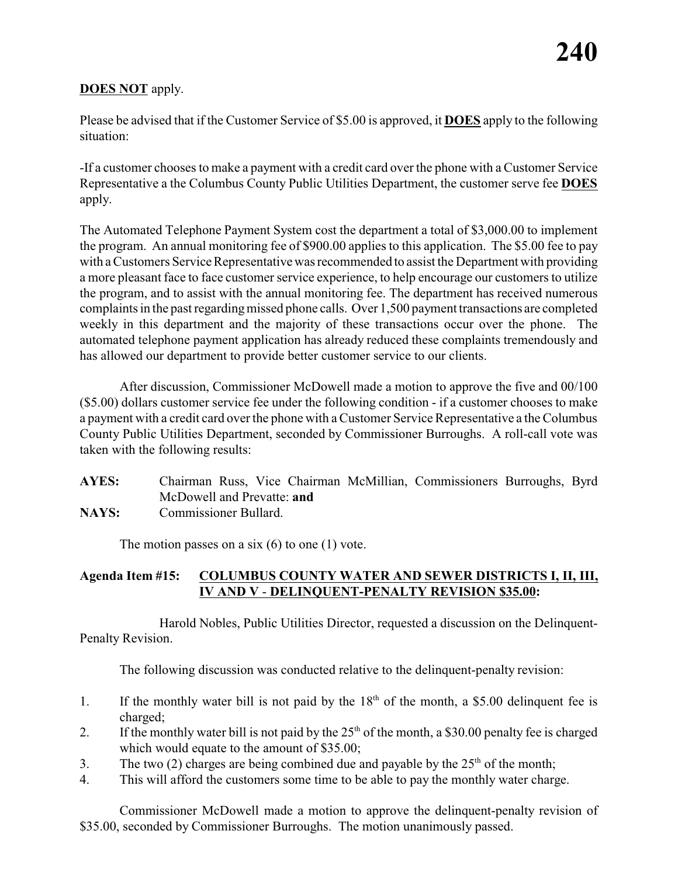### **DOES NOT** apply.

Please be advised that if the Customer Service of \$5.00 is approved, it **DOES** apply to the following situation:

-If a customer chooses to make a payment with a credit card over the phone with a Customer Service Representative a the Columbus County Public Utilities Department, the customer serve fee **DOES** apply.

The Automated Telephone Payment System cost the department a total of \$3,000.00 to implement the program. An annual monitoring fee of \$900.00 applies to this application. The \$5.00 fee to pay with a Customers Service Representative was recommended to assist the Department with providing a more pleasant face to face customer service experience, to help encourage our customers to utilize the program, and to assist with the annual monitoring fee. The department has received numerous complaints in the past regardingmissed phone calls. Over 1,500 payment transactions are completed weekly in this department and the majority of these transactions occur over the phone. The automated telephone payment application has already reduced these complaints tremendously and has allowed our department to provide better customer service to our clients.

After discussion, Commissioner McDowell made a motion to approve the five and 00/100 (\$5.00) dollars customer service fee under the following condition - if a customer chooses to make a payment with a credit card over the phone with a Customer Service Representative a the Columbus County Public Utilities Department, seconded by Commissioner Burroughs. A roll-call vote was taken with the following results:

**AYES:** Chairman Russ, Vice Chairman McMillian, Commissioners Burroughs, Byrd McDowell and Prevatte: **and**

**NAYS:** Commissioner Bullard.

The motion passes on a six  $(6)$  to one  $(1)$  vote.

#### **Agenda Item #15: COLUMBUS COUNTY WATER AND SEWER DISTRICTS I, II, III, IV AND V** - **DELINQUENT-PENALTY REVISION \$35.00:**

Harold Nobles, Public Utilities Director, requested a discussion on the Delinquent-Penalty Revision.

The following discussion was conducted relative to the delinquent-penalty revision:

- 1. If the monthly water bill is not paid by the  $18<sup>th</sup>$  of the month, a \$5.00 delinquent fee is charged;
- 2. If the monthly water bill is not paid by the  $25<sup>th</sup>$  of the month, a \$30.00 penalty fee is charged which would equate to the amount of \$35.00;
- 3. The two (2) charges are being combined due and payable by the  $25<sup>th</sup>$  of the month;
- 4. This will afford the customers some time to be able to pay the monthly water charge.

Commissioner McDowell made a motion to approve the delinquent-penalty revision of \$35.00, seconded by Commissioner Burroughs. The motion unanimously passed.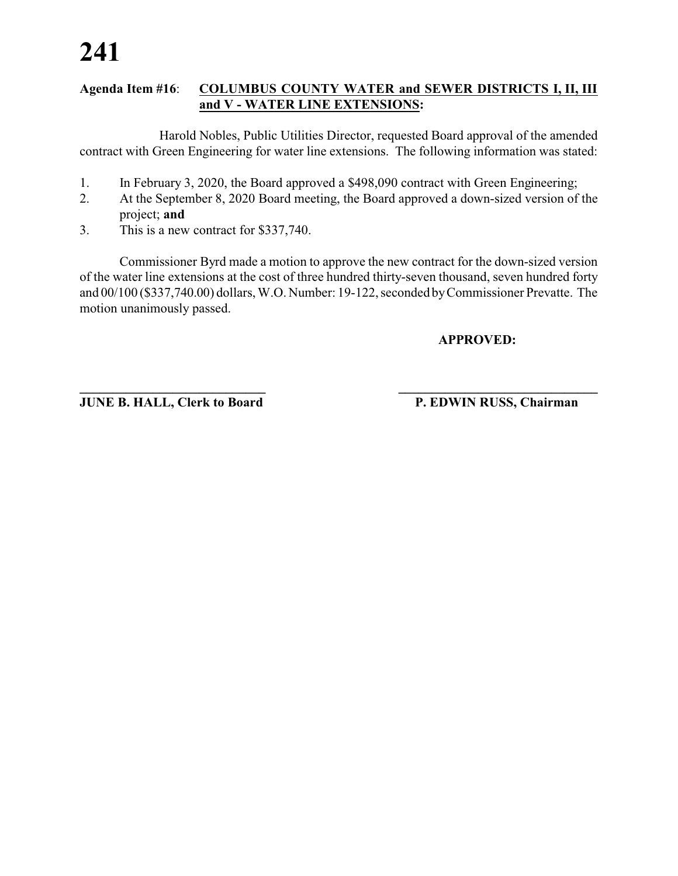#### **Agenda Item #16**: **COLUMBUS COUNTY WATER and SEWER DISTRICTS I, II, III and V - WATER LINE EXTENSIONS:**

Harold Nobles, Public Utilities Director, requested Board approval of the amended contract with Green Engineering for water line extensions. The following information was stated:

- 1. In February 3, 2020, the Board approved a \$498,090 contract with Green Engineering;
- 2. At the September 8, 2020 Board meeting, the Board approved a down-sized version of the project; **and**
- 3. This is a new contract for \$337,740.

Commissioner Byrd made a motion to approve the new contract for the down-sized version of the water line extensions at the cost of three hundred thirty-seven thousand, seven hundred forty and 00/100 (\$337,740.00) dollars, W.O. Number: 19-122, seconded byCommissioner Prevatte. The motion unanimously passed.

**\_\_\_\_\_\_\_\_\_\_\_\_\_\_\_\_\_\_\_\_\_\_\_\_\_\_\_\_ \_\_\_\_\_\_\_\_\_\_\_\_\_\_\_\_\_\_\_\_\_\_\_\_\_\_\_\_\_\_**

**APPROVED:**

**JUNE B. HALL, Clerk to Board P. EDWIN RUSS, Chairman**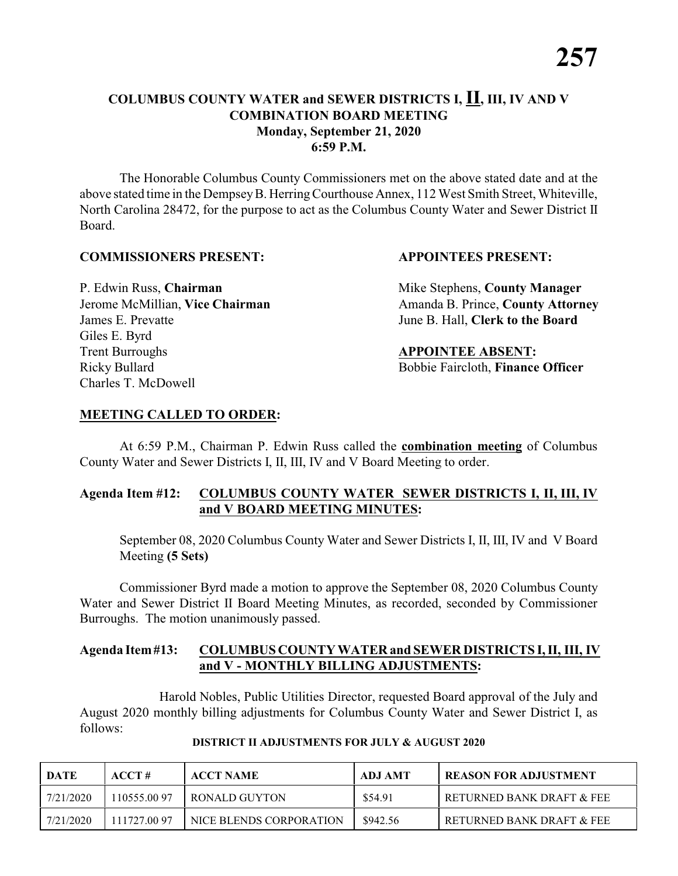#### **COLUMBUS COUNTY WATER and SEWER DISTRICTS I, II, III, IV AND V COMBINATION BOARD MEETING Monday, September 21, 2020 6:59 P.M.**

The Honorable Columbus County Commissioners met on the above stated date and at the above stated time in the DempseyB. HerringCourthouse Annex, 112 West Smith Street, Whiteville, North Carolina 28472, for the purpose to act as the Columbus County Water and Sewer District II Board.

#### **COMMISSIONERS PRESENT: APPOINTEES PRESENT:**

James E. Prevatte June B. Hall, **Clerk to the Board** Giles E. Byrd **Trent Burroughs APPOINTEE ABSENT:** Ricky Bullard **Bobbie Faircloth, Finance Officer** Charles T. McDowell

P. Edwin Russ, **Chairman** Mike Stephens, **County Manager** Jerome McMillian, Vice Chairman Amanda B. Prince, County Attorney

#### **MEETING CALLED TO ORDER:**

At 6:59 P.M., Chairman P. Edwin Russ called the **combination meeting** of Columbus County Water and Sewer Districts I, II, III, IV and V Board Meeting to order.

#### **Agenda Item #12: COLUMBUS COUNTY WATER SEWER DISTRICTS I, II, III, IV and V BOARD MEETING MINUTES:**

September 08, 2020 Columbus County Water and Sewer Districts I, II, III, IV and V Board Meeting **(5 Sets)**

Commissioner Byrd made a motion to approve the September 08, 2020 Columbus County Water and Sewer District II Board Meeting Minutes, as recorded, seconded by Commissioner Burroughs. The motion unanimously passed.

#### **Agenda Item#13: COLUMBUS COUNTY WATER and SEWER DISTRICTS I, II, III, IV and V - MONTHLY BILLING ADJUSTMENTS:**

Harold Nobles, Public Utilities Director, requested Board approval of the July and August 2020 monthly billing adjustments for Columbus County Water and Sewer District I, as follows:

| DATE      | ACCT#       | <b>ACCT NAME</b>        | ADJ AMT  | <b>REASON FOR ADJUSTMENT</b> |
|-----------|-------------|-------------------------|----------|------------------------------|
| 7/21/2020 | 110555.0097 | RONALD GUYTON           | \$54.91  | RETURNED BANK DRAFT & FEE    |
| 7/21/2020 | 111727.0097 | NICE BLENDS CORPORATION | \$942.56 | RETURNED BANK DRAFT & FEE    |

#### **DISTRICT II ADJUSTMENTS FOR JULY & AUGUST 2020**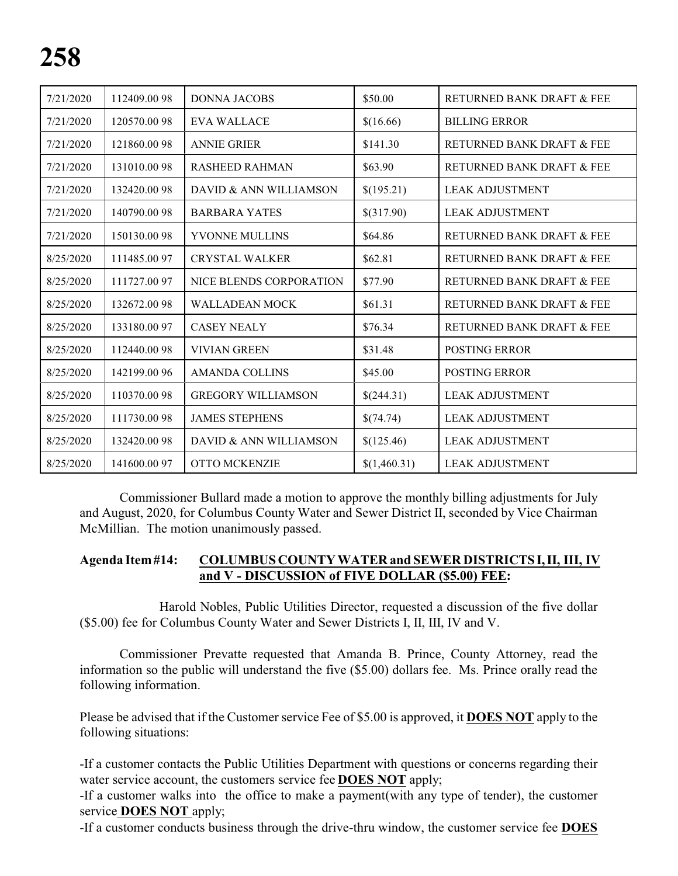| 7/21/2020 | 112409.00 98 | <b>DONNA JACOBS</b>       | \$50.00      | RETURNED BANK DRAFT & FEE |
|-----------|--------------|---------------------------|--------------|---------------------------|
| 7/21/2020 | 120570.0098  | <b>EVA WALLACE</b>        | \$(16.66)    | <b>BILLING ERROR</b>      |
| 7/21/2020 | 121860.0098  | <b>ANNIE GRIER</b>        | \$141.30     | RETURNED BANK DRAFT & FEE |
| 7/21/2020 | 131010.0098  | <b>RASHEED RAHMAN</b>     | \$63.90      | RETURNED BANK DRAFT & FEE |
| 7/21/2020 | 132420.0098  | DAVID & ANN WILLIAMSON    | \$(195.21)   | <b>LEAK ADJUSTMENT</b>    |
| 7/21/2020 | 140790.0098  | <b>BARBARA YATES</b>      | \$(317.90)   | <b>LEAK ADJUSTMENT</b>    |
| 7/21/2020 | 150130.0098  | YVONNE MULLINS            | \$64.86      | RETURNED BANK DRAFT & FEE |
| 8/25/2020 | 111485.0097  | <b>CRYSTAL WALKER</b>     | \$62.81      | RETURNED BANK DRAFT & FEE |
| 8/25/2020 | 111727.0097  | NICE BLENDS CORPORATION   | \$77.90      | RETURNED BANK DRAFT & FEE |
| 8/25/2020 | 132672.0098  | <b>WALLADEAN MOCK</b>     | \$61.31      | RETURNED BANK DRAFT & FEE |
| 8/25/2020 | 133180.0097  | <b>CASEY NEALY</b>        | \$76.34      | RETURNED BANK DRAFT & FEE |
| 8/25/2020 | 112440.0098  | <b>VIVIAN GREEN</b>       | \$31.48      | <b>POSTING ERROR</b>      |
| 8/25/2020 | 142199.00 96 | <b>AMANDA COLLINS</b>     | \$45.00      | POSTING ERROR             |
| 8/25/2020 | 110370.0098  | <b>GREGORY WILLIAMSON</b> | \$(244.31)   | <b>LEAK ADJUSTMENT</b>    |
| 8/25/2020 | 111730.0098  | <b>JAMES STEPHENS</b>     | \$(74.74)    | <b>LEAK ADJUSTMENT</b>    |
| 8/25/2020 | 132420.00 98 | DAVID & ANN WILLIAMSON    | \$(125.46)   | <b>LEAK ADJUSTMENT</b>    |
| 8/25/2020 | 141600.0097  | OTTO MCKENZIE             | \$(1,460.31) | <b>LEAK ADJUSTMENT</b>    |

Commissioner Bullard made a motion to approve the monthly billing adjustments for July and August, 2020, for Columbus County Water and Sewer District II, seconded by Vice Chairman McMillian. The motion unanimously passed.

#### **Agenda Item#14: COLUMBUS COUNTY WATER and SEWER DISTRICTS I,II, III, IV and V - DISCUSSION of FIVE DOLLAR (\$5.00) FEE:**

Harold Nobles, Public Utilities Director, requested a discussion of the five dollar (\$5.00) fee for Columbus County Water and Sewer Districts I, II, III, IV and V.

Commissioner Prevatte requested that Amanda B. Prince, County Attorney, read the information so the public will understand the five (\$5.00) dollars fee. Ms. Prince orally read the following information.

Please be advised that if the Customer service Fee of \$5.00 is approved, it **DOES NOT** apply to the following situations:

-If a customer contacts the Public Utilities Department with questions or concerns regarding their water service account, the customers service fee **DOES NOT** apply;

-If a customer walks into the office to make a payment(with any type of tender), the customer service **DOES NOT** apply;

-If a customer conducts business through the drive-thru window, the customer service fee **DOES**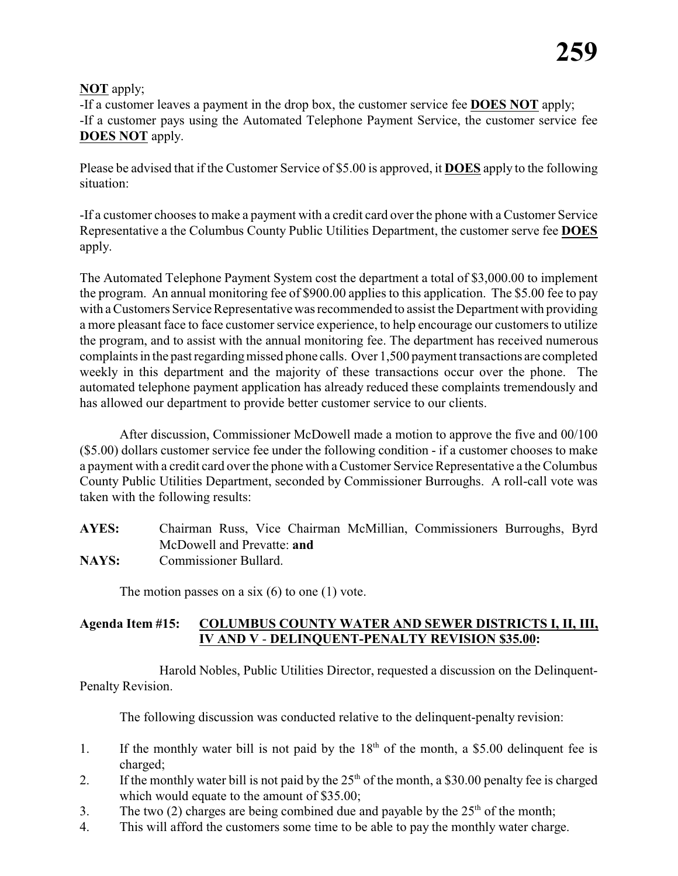### **NOT** apply;

-If a customer leaves a payment in the drop box, the customer service fee **DOES NOT** apply; -If a customer pays using the Automated Telephone Payment Service, the customer service fee **DOES NOT** apply.

Please be advised that if the Customer Service of \$5.00 is approved, it **DOES** apply to the following situation:

-If a customer chooses to make a payment with a credit card over the phone with a Customer Service Representative a the Columbus County Public Utilities Department, the customer serve fee **DOES** apply.

The Automated Telephone Payment System cost the department a total of \$3,000.00 to implement the program. An annual monitoring fee of \$900.00 applies to this application. The \$5.00 fee to pay with a Customers Service Representative was recommended to assist the Department with providing a more pleasant face to face customer service experience, to help encourage our customers to utilize the program, and to assist with the annual monitoring fee. The department has received numerous complaints in the past regardingmissed phone calls. Over 1,500 payment transactions are completed weekly in this department and the majority of these transactions occur over the phone. The automated telephone payment application has already reduced these complaints tremendously and has allowed our department to provide better customer service to our clients.

After discussion, Commissioner McDowell made a motion to approve the five and 00/100 (\$5.00) dollars customer service fee under the following condition - if a customer chooses to make a payment with a credit card over the phone with a Customer Service Representative a the Columbus County Public Utilities Department, seconded by Commissioner Burroughs. A roll-call vote was taken with the following results:

- **AYES:** Chairman Russ, Vice Chairman McMillian, Commissioners Burroughs, Byrd McDowell and Prevatte: **and**
- **NAYS:** Commissioner Bullard.

The motion passes on a six  $(6)$  to one  $(1)$  vote.

### **Agenda Item #15: COLUMBUS COUNTY WATER AND SEWER DISTRICTS I, II, III, IV AND V** - **DELINQUENT-PENALTY REVISION \$35.00:**

Harold Nobles, Public Utilities Director, requested a discussion on the Delinquent-Penalty Revision.

The following discussion was conducted relative to the delinquent-penalty revision:

- 1. If the monthly water bill is not paid by the  $18<sup>th</sup>$  of the month, a \$5.00 delinquent fee is charged;
- 2. If the monthly water bill is not paid by the  $25<sup>th</sup>$  of the month, a \$30.00 penalty fee is charged which would equate to the amount of \$35.00;
- 3. The two (2) charges are being combined due and payable by the  $25<sup>th</sup>$  of the month;
- 4. This will afford the customers some time to be able to pay the monthly water charge.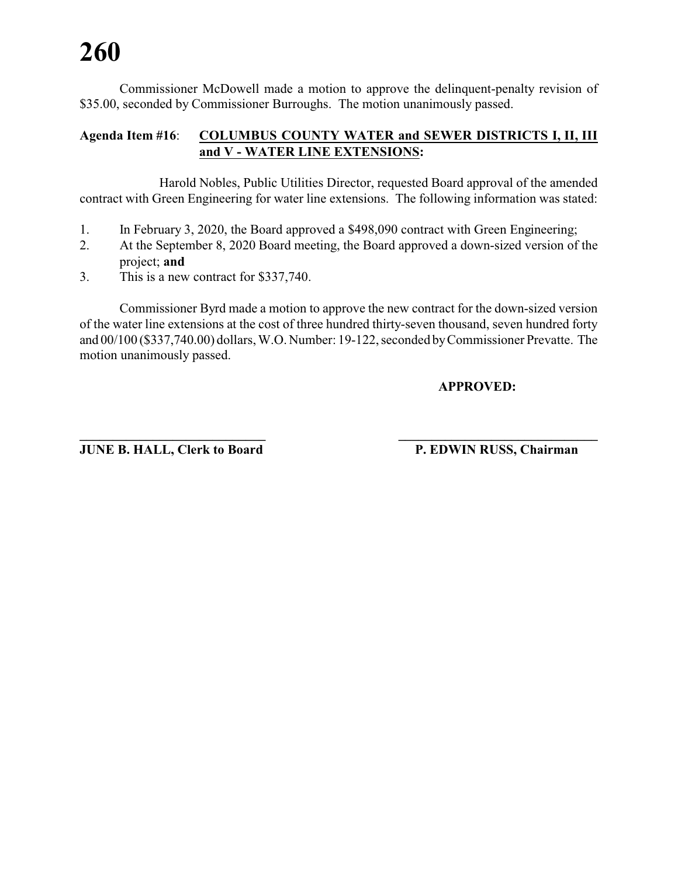Commissioner McDowell made a motion to approve the delinquent-penalty revision of \$35.00, seconded by Commissioner Burroughs. The motion unanimously passed.

#### **Agenda Item #16**: **COLUMBUS COUNTY WATER and SEWER DISTRICTS I, II, III and V - WATER LINE EXTENSIONS:**

Harold Nobles, Public Utilities Director, requested Board approval of the amended contract with Green Engineering for water line extensions. The following information was stated:

- 1. In February 3, 2020, the Board approved a \$498,090 contract with Green Engineering;
- 2. At the September 8, 2020 Board meeting, the Board approved a down-sized version of the project; **and**
- 3. This is a new contract for \$337,740.

Commissioner Byrd made a motion to approve the new contract for the down-sized version of the water line extensions at the cost of three hundred thirty-seven thousand, seven hundred forty and 00/100 (\$337,740.00) dollars, W.O. Number: 19-122, seconded byCommissioner Prevatte. The motion unanimously passed.

#### **APPROVED:**

**JUNE B. HALL, Clerk to Board P. EDWIN RUSS, Chairman** 

**\_\_\_\_\_\_\_\_\_\_\_\_\_\_\_\_\_\_\_\_\_\_\_\_\_\_\_\_ \_\_\_\_\_\_\_\_\_\_\_\_\_\_\_\_\_\_\_\_\_\_\_\_\_\_\_\_\_\_**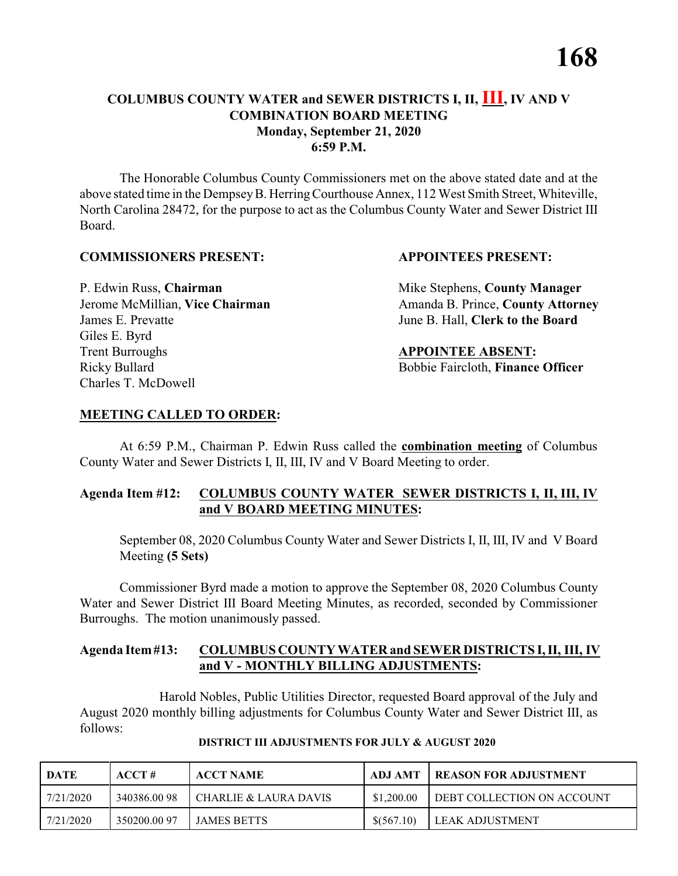#### **COLUMBUS COUNTY WATER and SEWER DISTRICTS I, II, III, IV AND V COMBINATION BOARD MEETING Monday, September 21, 2020 6:59 P.M.**

The Honorable Columbus County Commissioners met on the above stated date and at the above stated time in the DempseyB. HerringCourthouse Annex, 112 West Smith Street, Whiteville, North Carolina 28472, for the purpose to act as the Columbus County Water and Sewer District III Board.

#### **COMMISSIONERS PRESENT: APPOINTEES PRESENT:**

James E. Prevatte June B. Hall, **Clerk to the Board** Giles E. Byrd **Trent Burroughs APPOINTEE ABSENT:** Ricky Bullard **Bobbie Faircloth, Finance Officer** Charles T. McDowell

P. Edwin Russ, **Chairman** Mike Stephens, **County Manager** Jerome McMillian, Vice Chairman Amanda B. Prince, County Attorney

#### **MEETING CALLED TO ORDER:**

At 6:59 P.M., Chairman P. Edwin Russ called the **combination meeting** of Columbus County Water and Sewer Districts I, II, III, IV and V Board Meeting to order.

#### **Agenda Item #12: COLUMBUS COUNTY WATER SEWER DISTRICTS I, II, III, IV and V BOARD MEETING MINUTES:**

September 08, 2020 Columbus County Water and Sewer Districts I, II, III, IV and V Board Meeting **(5 Sets)**

Commissioner Byrd made a motion to approve the September 08, 2020 Columbus County Water and Sewer District III Board Meeting Minutes, as recorded, seconded by Commissioner Burroughs. The motion unanimously passed.

#### **Agenda Item#13: COLUMBUS COUNTY WATER and SEWER DISTRICTS I, II, III, IV and V - MONTHLY BILLING ADJUSTMENTS:**

Harold Nobles, Public Utilities Director, requested Board approval of the July and August 2020 monthly billing adjustments for Columbus County Water and Sewer District III, as follows:

| <b>DATE</b> | $\bf ACCT#$ | <b>ACCT NAME</b>        | ADJ AMT    | <b>I REASON FOR ADJUSTMENT</b> |
|-------------|-------------|-------------------------|------------|--------------------------------|
| 7/21/2020   | 340386.0098 | I CHARLIE & LAURA DAVIS | \$1,200.00 | LDEBT COLLECTION ON ACCOUNT    |
| 7/21/2020   | 350200.0097 | LJAMES BETTS            | \$(567.10) | <b>I LEAK ADJUSTMENT</b>       |

#### **DISTRICT III ADJUSTMENTS FOR JULY & AUGUST 2020**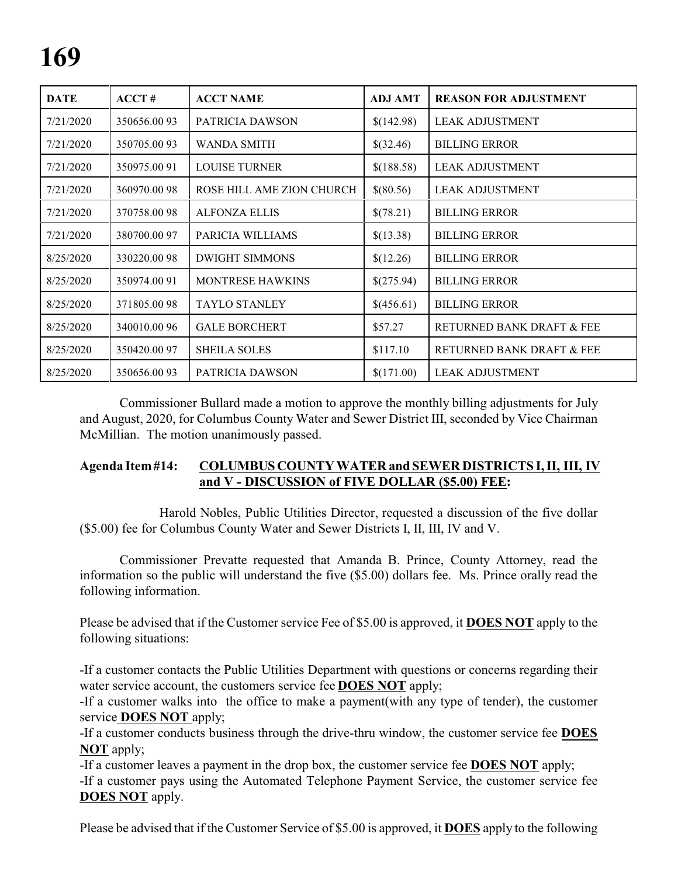| <b>DATE</b> | ACCT#        | <b>ACCT NAME</b>          | <b>ADJ AMT</b> | <b>REASON FOR ADJUSTMENT</b> |
|-------------|--------------|---------------------------|----------------|------------------------------|
| 7/21/2020   | 350656.0093  | PATRICIA DAWSON           | \$(142.98)     | <b>LEAK ADJUSTMENT</b>       |
| 7/21/2020   | 350705.0093  | <b>WANDA SMITH</b>        | \$(32.46)      | <b>BILLING ERROR</b>         |
| 7/21/2020   | 350975.00 91 | <b>LOUISE TURNER</b>      | \$(188.58)     | <b>LEAK ADJUSTMENT</b>       |
| 7/21/2020   | 360970.0098  | ROSE HILL AME ZION CHURCH | \$(80.56)      | <b>LEAK ADJUSTMENT</b>       |
| 7/21/2020   | 370758.0098  | <b>ALFONZA ELLIS</b>      | \$(78.21)      | <b>BILLING ERROR</b>         |
| 7/21/2020   | 380700.0097  | PARICIA WILLIAMS          | \$(13.38)      | <b>BILLING ERROR</b>         |
| 8/25/2020   | 330220.0098  | <b>DWIGHT SIMMONS</b>     | \$(12.26)      | <b>BILLING ERROR</b>         |
| 8/25/2020   | 350974.00 91 | <b>MONTRESE HAWKINS</b>   | \$(275.94)     | <b>BILLING ERROR</b>         |
| 8/25/2020   | 371805.0098  | <b>TAYLO STANLEY</b>      | \$(456.61)     | <b>BILLING ERROR</b>         |
| 8/25/2020   | 340010.00 96 | <b>GALE BORCHERT</b>      | \$57.27        | RETURNED BANK DRAFT & FEE    |
| 8/25/2020   | 350420.00 97 | <b>SHEILA SOLES</b>       | \$117.10       | RETURNED BANK DRAFT & FEE    |
| 8/25/2020   | 350656.0093  | PATRICIA DAWSON           | \$(171.00)     | <b>LEAK ADJUSTMENT</b>       |

Commissioner Bullard made a motion to approve the monthly billing adjustments for July and August, 2020, for Columbus County Water and Sewer District III, seconded by Vice Chairman McMillian. The motion unanimously passed.

#### **Agenda Item#14: COLUMBUSCOUNTY WATER and SEWER DISTRICTS I, II, III, IV and V - DISCUSSION of FIVE DOLLAR (\$5.00) FEE:**

Harold Nobles, Public Utilities Director, requested a discussion of the five dollar (\$5.00) fee for Columbus County Water and Sewer Districts I, II, III, IV and V.

Commissioner Prevatte requested that Amanda B. Prince, County Attorney, read the information so the public will understand the five (\$5.00) dollars fee. Ms. Prince orally read the following information.

Please be advised that if the Customer service Fee of \$5.00 is approved, it **DOES NOT** apply to the following situations:

-If a customer contacts the Public Utilities Department with questions or concerns regarding their water service account, the customers service fee **DOES NOT** apply;

-If a customer walks into the office to make a payment(with any type of tender), the customer service **DOES NOT** apply;

-If a customer conducts business through the drive-thru window, the customer service fee **DOES NOT** apply;

-If a customer leaves a payment in the drop box, the customer service fee **DOES NOT** apply;

-If a customer pays using the Automated Telephone Payment Service, the customer service fee **DOES NOT** apply.

Please be advised that if the Customer Service of \$5.00 is approved, it **DOES** apply to the following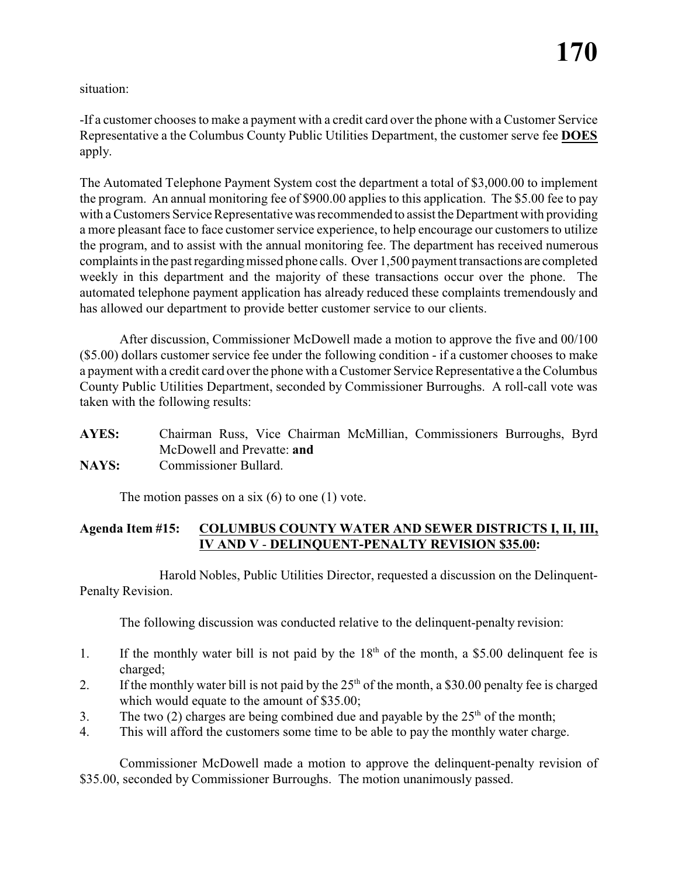situation:

-If a customer chooses to make a payment with a credit card over the phone with a Customer Service Representative a the Columbus County Public Utilities Department, the customer serve fee **DOES** apply.

The Automated Telephone Payment System cost the department a total of \$3,000.00 to implement the program. An annual monitoring fee of \$900.00 applies to this application. The \$5.00 fee to pay with a Customers Service Representative was recommended to assist the Department with providing a more pleasant face to face customer service experience, to help encourage our customers to utilize the program, and to assist with the annual monitoring fee. The department has received numerous complaints in the past regardingmissed phone calls. Over 1,500 payment transactions are completed weekly in this department and the majority of these transactions occur over the phone. The automated telephone payment application has already reduced these complaints tremendously and has allowed our department to provide better customer service to our clients.

After discussion, Commissioner McDowell made a motion to approve the five and 00/100 (\$5.00) dollars customer service fee under the following condition - if a customer chooses to make a payment with a credit card over the phone with a Customer Service Representative a the Columbus County Public Utilities Department, seconded by Commissioner Burroughs. A roll-call vote was taken with the following results:

| <b>AYES:</b> |                            |  |  | Chairman Russ, Vice Chairman McMillian, Commissioners Burroughs, Byrd |  |
|--------------|----------------------------|--|--|-----------------------------------------------------------------------|--|
|              | McDowell and Prevatte: and |  |  |                                                                       |  |
| <b>NAYS:</b> | Commissioner Bullard.      |  |  |                                                                       |  |

The motion passes on a six  $(6)$  to one  $(1)$  vote.

#### **Agenda Item #15: COLUMBUS COUNTY WATER AND SEWER DISTRICTS I, II, III, IV AND V** - **DELINQUENT-PENALTY REVISION \$35.00:**

Harold Nobles, Public Utilities Director, requested a discussion on the Delinquent-Penalty Revision.

The following discussion was conducted relative to the delinquent-penalty revision:

- 1. If the monthly water bill is not paid by the  $18<sup>th</sup>$  of the month, a \$5.00 delinquent fee is charged;
- 2. If the monthly water bill is not paid by the  $25<sup>th</sup>$  of the month, a \$30.00 penalty fee is charged which would equate to the amount of \$35.00;
- 3. The two (2) charges are being combined due and payable by the  $25<sup>th</sup>$  of the month;
- 4. This will afford the customers some time to be able to pay the monthly water charge.

Commissioner McDowell made a motion to approve the delinquent-penalty revision of \$35.00, seconded by Commissioner Burroughs. The motion unanimously passed.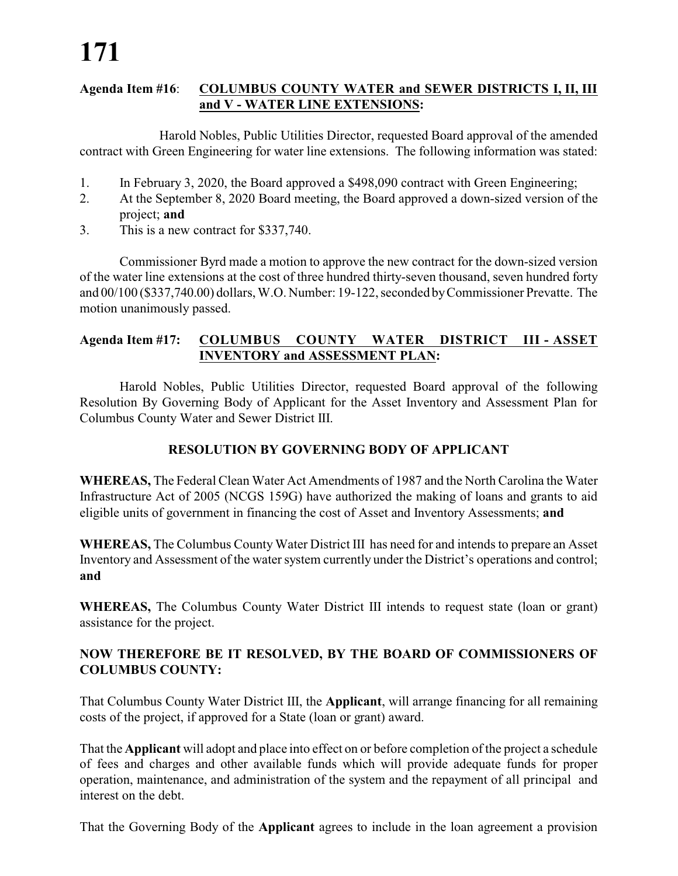#### **Agenda Item #16**: **COLUMBUS COUNTY WATER and SEWER DISTRICTS I, II, III and V - WATER LINE EXTENSIONS:**

Harold Nobles, Public Utilities Director, requested Board approval of the amended contract with Green Engineering for water line extensions. The following information was stated:

- 1. In February 3, 2020, the Board approved a \$498,090 contract with Green Engineering;
- 2. At the September 8, 2020 Board meeting, the Board approved a down-sized version of the project; **and**
- 3. This is a new contract for \$337,740.

Commissioner Byrd made a motion to approve the new contract for the down-sized version of the water line extensions at the cost of three hundred thirty-seven thousand, seven hundred forty and 00/100 (\$337,740.00) dollars, W.O. Number: 19-122, seconded byCommissioner Prevatte. The motion unanimously passed.

#### **Agenda Item #17: COLUMBUS COUNTY WATER DISTRICT III - ASSET INVENTORY and ASSESSMENT PLAN:**

Harold Nobles, Public Utilities Director, requested Board approval of the following Resolution By Governing Body of Applicant for the Asset Inventory and Assessment Plan for Columbus County Water and Sewer District III.

### **RESOLUTION BY GOVERNING BODY OF APPLICANT**

**WHEREAS,** The Federal Clean Water Act Amendments of 1987 and the North Carolina the Water Infrastructure Act of 2005 (NCGS 159G) have authorized the making of loans and grants to aid eligible units of government in financing the cost of Asset and Inventory Assessments; **and**

**WHEREAS,** The Columbus County Water District III has need for and intends to prepare an Asset Inventory and Assessment of the water system currently under the District's operations and control; **and**

**WHEREAS,** The Columbus County Water District III intends to request state (loan or grant) assistance for the project.

#### **NOW THEREFORE BE IT RESOLVED, BY THE BOARD OF COMMISSIONERS OF COLUMBUS COUNTY:**

That Columbus County Water District III, the **Applicant**, will arrange financing for all remaining costs of the project, if approved for a State (loan or grant) award.

That the **Applicant** will adopt and place into effect on or before completion of the project a schedule of fees and charges and other available funds which will provide adequate funds for proper operation, maintenance, and administration of the system and the repayment of all principal and interest on the debt.

That the Governing Body of the **Applicant** agrees to include in the loan agreement a provision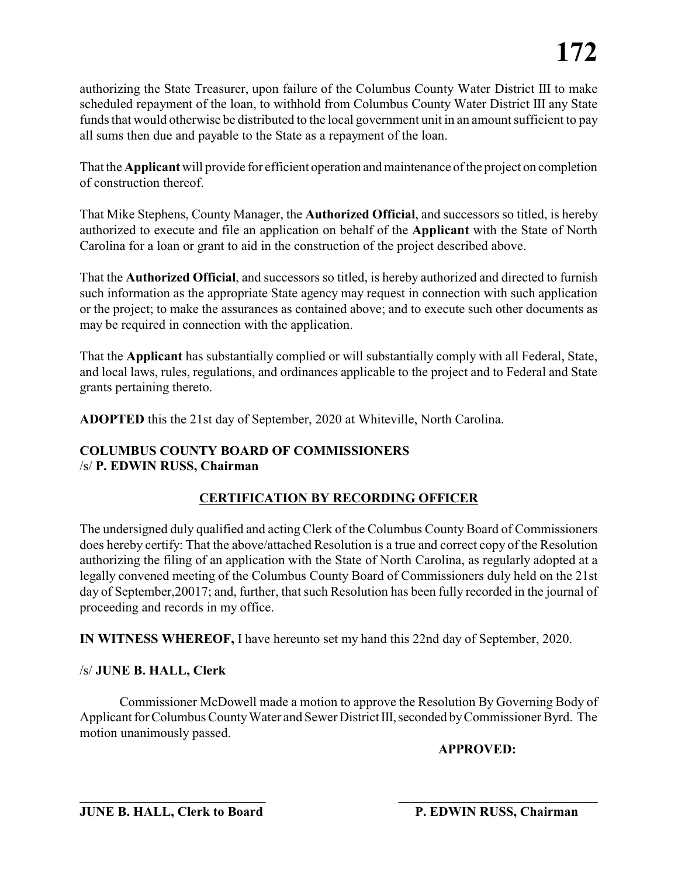authorizing the State Treasurer, upon failure of the Columbus County Water District III to make scheduled repayment of the loan, to withhold from Columbus County Water District III any State funds that would otherwise be distributed to the local government unit in an amount sufficient to pay all sums then due and payable to the State as a repayment of the loan.

That the **Applicant** will provide for efficient operation and maintenance of the project on completion of construction thereof.

That Mike Stephens, County Manager, the **Authorized Official**, and successors so titled, is hereby authorized to execute and file an application on behalf of the **Applicant** with the State of North Carolina for a loan or grant to aid in the construction of the project described above.

That the **Authorized Official**, and successors so titled, is hereby authorized and directed to furnish such information as the appropriate State agency may request in connection with such application or the project; to make the assurances as contained above; and to execute such other documents as may be required in connection with the application.

That the **Applicant** has substantially complied or will substantially comply with all Federal, State, and local laws, rules, regulations, and ordinances applicable to the project and to Federal and State grants pertaining thereto.

**ADOPTED** this the 21st day of September, 2020 at Whiteville, North Carolina.

#### **COLUMBUS COUNTY BOARD OF COMMISSIONERS** /s/ **P. EDWIN RUSS, Chairman**

#### **CERTIFICATION BY RECORDING OFFICER**

The undersigned duly qualified and acting Clerk of the Columbus County Board of Commissioners does hereby certify: That the above/attached Resolution is a true and correct copy of the Resolution authorizing the filing of an application with the State of North Carolina, as regularly adopted at a legally convened meeting of the Columbus County Board of Commissioners duly held on the 21st day of September,20017; and, further, that such Resolution has been fully recorded in the journal of proceeding and records in my office.

**IN WITNESS WHEREOF,** I have hereunto set my hand this 22nd day of September, 2020.

#### /s/ **JUNE B. HALL, Clerk**

Commissioner McDowell made a motion to approve the Resolution By Governing Body of Applicant for Columbus County Water and Sewer District III, seconded by Commissioner Byrd. The motion unanimously passed.

**\_\_\_\_\_\_\_\_\_\_\_\_\_\_\_\_\_\_\_\_\_\_\_\_\_\_\_\_ \_\_\_\_\_\_\_\_\_\_\_\_\_\_\_\_\_\_\_\_\_\_\_\_\_\_\_\_\_\_**

**APPROVED:**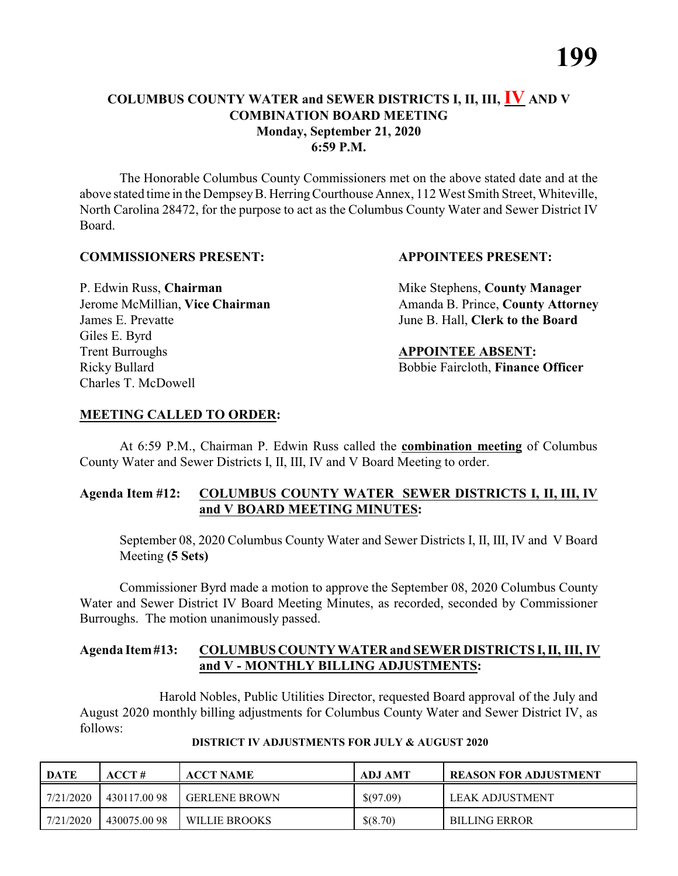#### **COLUMBUS COUNTY WATER and SEWER DISTRICTS I, II, III, IV AND V COMBINATION BOARD MEETING Monday, September 21, 2020 6:59 P.M.**

The Honorable Columbus County Commissioners met on the above stated date and at the above stated time in the DempseyB. HerringCourthouse Annex, 112 West Smith Street, Whiteville, North Carolina 28472, for the purpose to act as the Columbus County Water and Sewer District IV Board.

#### **COMMISSIONERS PRESENT: APPOINTEES PRESENT:**

James E. Prevatte June B. Hall, **Clerk to the Board** Giles E. Byrd **Trent Burroughs APPOINTEE ABSENT:** Ricky Bullard **Bobbie Faircloth, Finance Officer** Charles T. McDowell

P. Edwin Russ, **Chairman** Mike Stephens, **County Manager** Jerome McMillian, Vice Chairman Amanda B. Prince, County Attorney

#### **MEETING CALLED TO ORDER:**

At 6:59 P.M., Chairman P. Edwin Russ called the **combination meeting** of Columbus County Water and Sewer Districts I, II, III, IV and V Board Meeting to order.

#### **Agenda Item #12: COLUMBUS COUNTY WATER SEWER DISTRICTS I, II, III, IV and V BOARD MEETING MINUTES:**

September 08, 2020 Columbus County Water and Sewer Districts I, II, III, IV and V Board Meeting **(5 Sets)**

Commissioner Byrd made a motion to approve the September 08, 2020 Columbus County Water and Sewer District IV Board Meeting Minutes, as recorded, seconded by Commissioner Burroughs. The motion unanimously passed.

#### **Agenda Item#13: COLUMBUS COUNTY WATER and SEWER DISTRICTS I, II, III, IV and V - MONTHLY BILLING ADJUSTMENTS:**

Harold Nobles, Public Utilities Director, requested Board approval of the July and August 2020 monthly billing adjustments for Columbus County Water and Sewer District IV, as follows:

| <b>DATE</b> | ACCT#       | <b>ACCT NAME</b>     | <b>ADJ AMT</b> | <b>REASON FOR ADJUSTMENT</b> |
|-------------|-------------|----------------------|----------------|------------------------------|
| 7/21/2020   | 430117.0098 | <b>GERLENE BROWN</b> | \$(97.09)      | LEAK ADJUSTMENT              |
| 7/21/2020   | 430075.0098 | WILLIE BROOKS        | \$(8.70)       | <b>BILLING ERROR</b>         |

#### **DISTRICT IV ADJUSTMENTS FOR JULY & AUGUST 2020**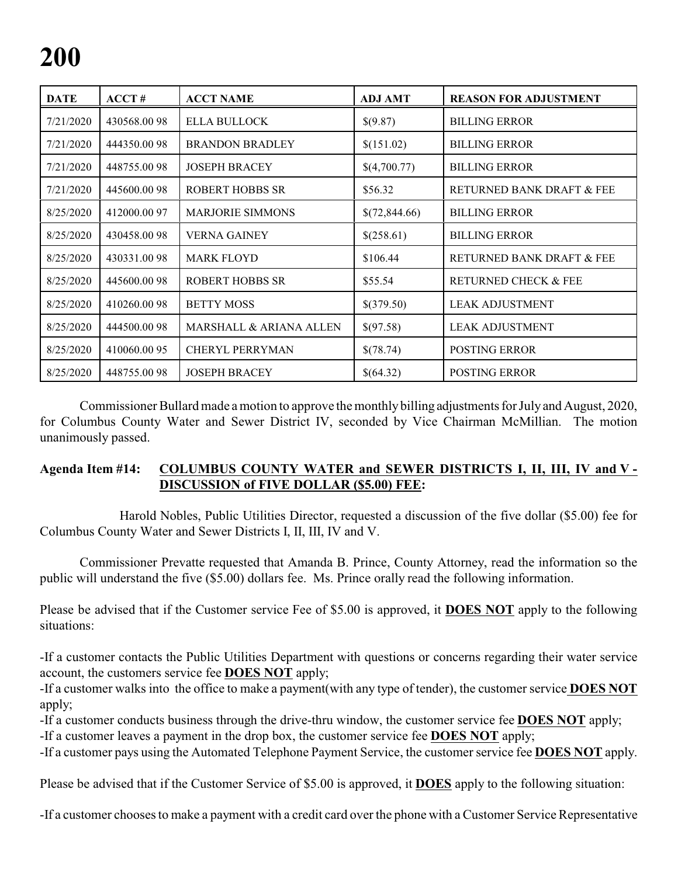| <b>DATE</b> | ACCT#        | <b>ACCT NAME</b>                   | <b>ADJ AMT</b> | <b>REASON FOR ADJUSTMENT</b>    |
|-------------|--------------|------------------------------------|----------------|---------------------------------|
| 7/21/2020   | 430568.0098  | ELLA BULLOCK                       | \$(9.87)       | <b>BILLING ERROR</b>            |
| 7/21/2020   | 444350.0098  | <b>BRANDON BRADLEY</b>             | \$(151.02)     | <b>BILLING ERROR</b>            |
| 7/21/2020   | 448755.0098  | <b>JOSEPH BRACEY</b>               | \$(4,700.77)   | <b>BILLING ERROR</b>            |
| 7/21/2020   | 445600.0098  | <b>ROBERT HOBBS SR</b>             | \$56.32        | RETURNED BANK DRAFT & FEE       |
| 8/25/2020   | 412000.0097  | <b>MARJORIE SIMMONS</b>            | \$(72,844.66)  | <b>BILLING ERROR</b>            |
| 8/25/2020   | 430458.0098  | <b>VERNA GAINEY</b>                | \$(258.61)     | <b>BILLING ERROR</b>            |
| 8/25/2020   | 430331.0098  | <b>MARK FLOYD</b>                  | \$106.44       | RETURNED BANK DRAFT & FEE       |
| 8/25/2020   | 445600.0098  | <b>ROBERT HOBBS SR</b>             | \$55.54        | <b>RETURNED CHECK &amp; FEE</b> |
| 8/25/2020   | 410260.0098  | <b>BETTY MOSS</b>                  | \$(379.50)     | <b>LEAK ADJUSTMENT</b>          |
| 8/25/2020   | 444500.0098  | <b>MARSHALL &amp; ARIANA ALLEN</b> | \$(97.58)      | <b>LEAK ADJUSTMENT</b>          |
| 8/25/2020   | 410060.00 95 | <b>CHERYL PERRYMAN</b>             | \$(78.74)      | <b>POSTING ERROR</b>            |
| 8/25/2020   | 448755.0098  | <b>JOSEPH BRACEY</b>               | \$(64.32)      | <b>POSTING ERROR</b>            |

Commissioner Bullard made a motion to approve the monthlybilling adjustments for Julyand August, 2020, for Columbus County Water and Sewer District IV, seconded by Vice Chairman McMillian. The motion unanimously passed.

#### **Agenda Item #14: COLUMBUS COUNTY WATER and SEWER DISTRICTS I, II, III, IV and V - DISCUSSION of FIVE DOLLAR (\$5.00) FEE:**

Harold Nobles, Public Utilities Director, requested a discussion of the five dollar (\$5.00) fee for Columbus County Water and Sewer Districts I, II, III, IV and V.

Commissioner Prevatte requested that Amanda B. Prince, County Attorney, read the information so the public will understand the five (\$5.00) dollars fee. Ms. Prince orally read the following information.

Please be advised that if the Customer service Fee of \$5.00 is approved, it **DOES NOT** apply to the following situations:

-If a customer contacts the Public Utilities Department with questions or concerns regarding their water service account, the customers service fee **DOES NOT** apply;

-If a customer walks into the office to make a payment(with any type of tender), the customer service **DOES NOT** apply;

-If a customer conducts business through the drive-thru window, the customer service fee **DOES NOT** apply;

-If a customer leaves a payment in the drop box, the customer service fee **DOES NOT** apply;

-If a customer pays using the Automated Telephone Payment Service, the customer service fee **DOES NOT** apply.

Please be advised that if the Customer Service of \$5.00 is approved, it **DOES** apply to the following situation:

-If a customer chooses to make a payment with a credit card over the phone with a Customer Service Representative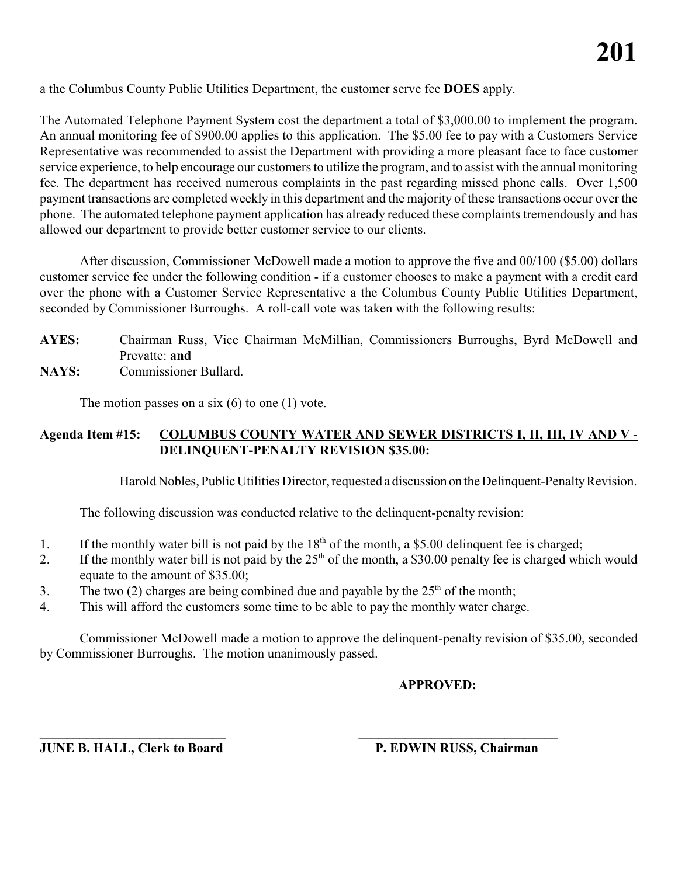a the Columbus County Public Utilities Department, the customer serve fee **DOES** apply.

The Automated Telephone Payment System cost the department a total of \$3,000.00 to implement the program. An annual monitoring fee of \$900.00 applies to this application. The \$5.00 fee to pay with a Customers Service Representative was recommended to assist the Department with providing a more pleasant face to face customer service experience, to help encourage our customers to utilize the program, and to assist with the annual monitoring fee. The department has received numerous complaints in the past regarding missed phone calls. Over 1,500 payment transactions are completed weekly in this department and the majority of these transactions occur over the phone. The automated telephone payment application has already reduced these complaints tremendously and has allowed our department to provide better customer service to our clients.

After discussion, Commissioner McDowell made a motion to approve the five and 00/100 (\$5.00) dollars customer service fee under the following condition - if a customer chooses to make a payment with a credit card over the phone with a Customer Service Representative a the Columbus County Public Utilities Department, seconded by Commissioner Burroughs. A roll-call vote was taken with the following results:

- **AYES:** Chairman Russ, Vice Chairman McMillian, Commissioners Burroughs, Byrd McDowell and Prevatte: **and**
- **NAYS:** Commissioner Bullard.

The motion passes on a six  $(6)$  to one  $(1)$  vote.

#### **Agenda Item #15: COLUMBUS COUNTY WATER AND SEWER DISTRICTS I, II, III, IV AND V** - **DELINQUENT-PENALTY REVISION \$35.00:**

Harold Nobles, Public Utilities Director, requested a discussion on the Delinquent-PenaltyRevision.

The following discussion was conducted relative to the delinquent-penalty revision:

- 1. If the monthly water bill is not paid by the 18<sup>th</sup> of the month, a \$5.00 delinquent fee is charged;
- 2. If the monthly water bill is not paid by the  $25<sup>th</sup>$  of the month, a \$30.00 penalty fee is charged which would equate to the amount of \$35.00;
- 3. The two (2) charges are being combined due and payable by the  $25<sup>th</sup>$  of the month;
- 4. This will afford the customers some time to be able to pay the monthly water charge.

**\_\_\_\_\_\_\_\_\_\_\_\_\_\_\_\_\_\_\_\_\_\_\_\_\_\_\_\_ \_\_\_\_\_\_\_\_\_\_\_\_\_\_\_\_\_\_\_\_\_\_\_\_\_\_\_\_\_\_**

Commissioner McDowell made a motion to approve the delinquent-penalty revision of \$35.00, seconded by Commissioner Burroughs. The motion unanimously passed.

### **APPROVED:**

**JUNE B. HALL, Clerk to Board P. EDWIN RUSS, Chairman**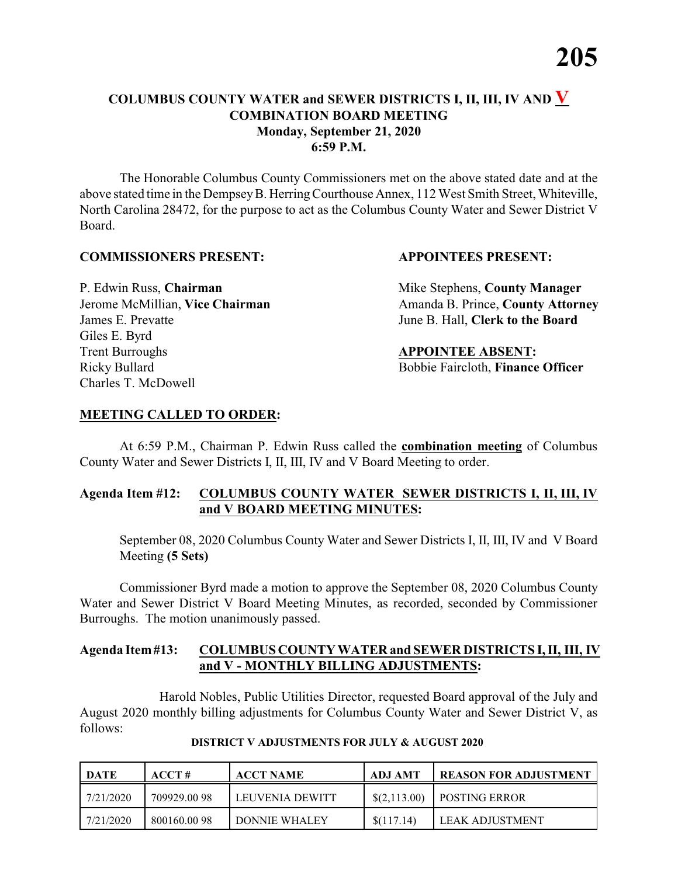#### **COLUMBUS COUNTY WATER and SEWER DISTRICTS I, II, III, IV AND V COMBINATION BOARD MEETING Monday, September 21, 2020 6:59 P.M.**

The Honorable Columbus County Commissioners met on the above stated date and at the above stated time in the DempseyB. HerringCourthouse Annex, 112 West Smith Street, Whiteville, North Carolina 28472, for the purpose to act as the Columbus County Water and Sewer District V Board.

#### **COMMISSIONERS PRESENT: APPOINTEES PRESENT:**

James E. Prevatte June B. Hall, **Clerk to the Board** Giles E. Byrd **Trent Burroughs APPOINTEE ABSENT:** Ricky Bullard **Bobbie Faircloth, Finance Officer** Charles T. McDowell

P. Edwin Russ, **Chairman** Mike Stephens, **County Manager** Jerome McMillian, Vice Chairman Amanda B. Prince, County Attorney

#### **MEETING CALLED TO ORDER:**

At 6:59 P.M., Chairman P. Edwin Russ called the **combination meeting** of Columbus County Water and Sewer Districts I, II, III, IV and V Board Meeting to order.

#### **Agenda Item #12: COLUMBUS COUNTY WATER SEWER DISTRICTS I, II, III, IV and V BOARD MEETING MINUTES:**

September 08, 2020 Columbus County Water and Sewer Districts I, II, III, IV and V Board Meeting **(5 Sets)**

Commissioner Byrd made a motion to approve the September 08, 2020 Columbus County Water and Sewer District V Board Meeting Minutes, as recorded, seconded by Commissioner Burroughs. The motion unanimously passed.

#### **Agenda Item#13: COLUMBUS COUNTY WATER and SEWER DISTRICTS I, II, III, IV and V - MONTHLY BILLING ADJUSTMENTS:**

Harold Nobles, Public Utilities Director, requested Board approval of the July and August 2020 monthly billing adjustments for Columbus County Water and Sewer District V, as follows:

| DATE      | ACCT#       | <b>ACCT NAME</b> | ADJ AMT        | <b>REASON FOR ADJUSTMENT</b> |
|-----------|-------------|------------------|----------------|------------------------------|
| 7/21/2020 | 709929.0098 | LEUVENIA DEWITT  | $\$(2,113.00)$ | <b>I POSTING ERROR</b>       |
| 7/21/2020 | 800160.0098 | DONNIE WHALEY    | \$(117.14)     | LEAK ADJUSTMENT              |

**DISTRICT V ADJUSTMENTS FOR JULY & AUGUST 2020**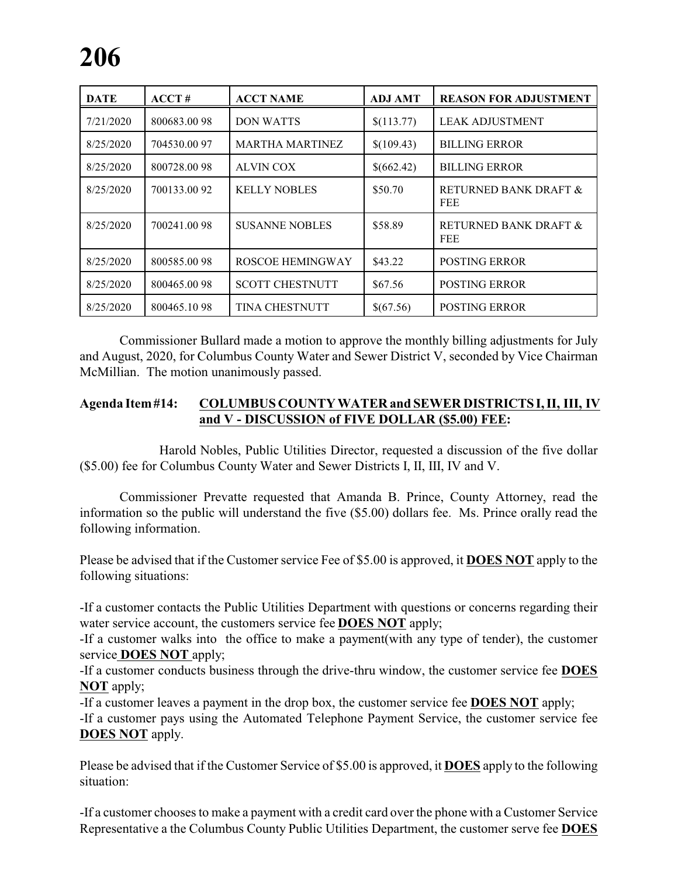| <b>DATE</b> | ACCT#       | <b>ACCT NAME</b>        | <b>ADJ AMT</b> | <b>REASON FOR ADJUSTMENT</b>        |
|-------------|-------------|-------------------------|----------------|-------------------------------------|
| 7/21/2020   | 800683.0098 | <b>DON WATTS</b>        | \$(113.77)     | <b>LEAK ADJUSTMENT</b>              |
| 8/25/2020   | 704530.0097 | <b>MARTHA MARTINEZ</b>  | \$(109.43)     | <b>BILLING ERROR</b>                |
| 8/25/2020   | 800728.0098 | ALVIN COX               | \$(662.42)     | <b>BILLING ERROR</b>                |
| 8/25/2020   | 700133.0092 | <b>KELLY NOBLES</b>     | \$50.70        | RETURNED BANK DRAFT &<br><b>FEE</b> |
| 8/25/2020   | 700241.0098 | <b>SUSANNE NOBLES</b>   | \$58.89        | RETURNED BANK DRAFT &<br><b>FEE</b> |
| 8/25/2020   | 800585.0098 | <b>ROSCOE HEMINGWAY</b> | \$43.22        | <b>POSTING ERROR</b>                |
| 8/25/2020   | 800465.0098 | <b>SCOTT CHESTNUTT</b>  | \$67.56        | <b>POSTING ERROR</b>                |
| 8/25/2020   | 800465.1098 | TINA CHESTNUTT          | \$(67.56)      | POSTING ERROR                       |

Commissioner Bullard made a motion to approve the monthly billing adjustments for July and August, 2020, for Columbus County Water and Sewer District V, seconded by Vice Chairman McMillian. The motion unanimously passed.

#### **Agenda Item#14: COLUMBUS COUNTY WATER and SEWER DISTRICTS I, II, III, IV and V - DISCUSSION of FIVE DOLLAR (\$5.00) FEE:**

Harold Nobles, Public Utilities Director, requested a discussion of the five dollar (\$5.00) fee for Columbus County Water and Sewer Districts I, II, III, IV and V.

Commissioner Prevatte requested that Amanda B. Prince, County Attorney, read the information so the public will understand the five (\$5.00) dollars fee. Ms. Prince orally read the following information.

Please be advised that if the Customer service Fee of \$5.00 is approved, it **DOES NOT** apply to the following situations:

-If a customer contacts the Public Utilities Department with questions or concerns regarding their water service account, the customers service fee **DOES NOT** apply;

-If a customer walks into the office to make a payment(with any type of tender), the customer service **DOES NOT** apply;

-If a customer conducts business through the drive-thru window, the customer service fee **DOES NOT** apply;

-If a customer leaves a payment in the drop box, the customer service fee **DOES NOT** apply; -If a customer pays using the Automated Telephone Payment Service, the customer service fee **DOES NOT** apply.

Please be advised that if the Customer Service of \$5.00 is approved, it **DOES** apply to the following situation:

-If a customer chooses to make a payment with a credit card over the phone with a Customer Service Representative a the Columbus County Public Utilities Department, the customer serve fee **DOES**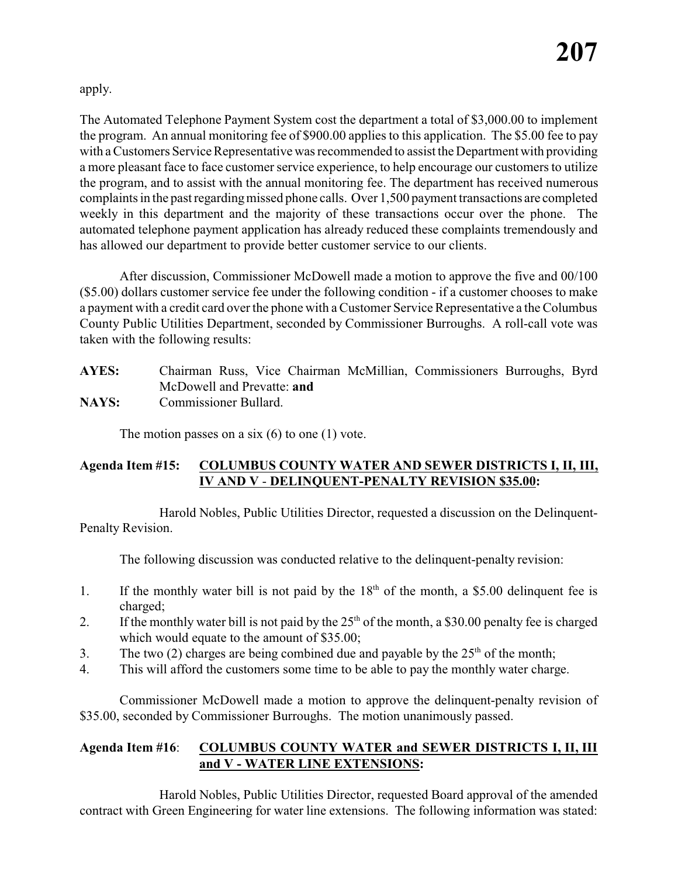apply.

The Automated Telephone Payment System cost the department a total of \$3,000.00 to implement the program. An annual monitoring fee of \$900.00 applies to this application. The \$5.00 fee to pay with a Customers Service Representative was recommended to assist the Department with providing a more pleasant face to face customer service experience, to help encourage our customers to utilize the program, and to assist with the annual monitoring fee. The department has received numerous complaints in the past regardingmissed phone calls. Over 1,500 payment transactions are completed weekly in this department and the majority of these transactions occur over the phone. The automated telephone payment application has already reduced these complaints tremendously and has allowed our department to provide better customer service to our clients.

After discussion, Commissioner McDowell made a motion to approve the five and 00/100 (\$5.00) dollars customer service fee under the following condition - if a customer chooses to make a payment with a credit card over the phone with a Customer Service Representative a the Columbus County Public Utilities Department, seconded by Commissioner Burroughs. A roll-call vote was taken with the following results:

## **AYES:** Chairman Russ, Vice Chairman McMillian, Commissioners Burroughs, Byrd McDowell and Prevatte: **and**

**NAYS:** Commissioner Bullard.

The motion passes on a six  $(6)$  to one  $(1)$  vote.

### **Agenda Item #15: COLUMBUS COUNTY WATER AND SEWER DISTRICTS I, II, III, IV AND V** - **DELINQUENT-PENALTY REVISION \$35.00:**

Harold Nobles, Public Utilities Director, requested a discussion on the Delinquent-Penalty Revision.

The following discussion was conducted relative to the delinquent-penalty revision:

- 1. If the monthly water bill is not paid by the  $18<sup>th</sup>$  of the month, a \$5.00 delinquent fee is charged;
- 2. If the monthly water bill is not paid by the  $25<sup>th</sup>$  of the month, a \$30.00 penalty fee is charged which would equate to the amount of \$35.00;
- 3. The two (2) charges are being combined due and payable by the  $25<sup>th</sup>$  of the month;
- 4. This will afford the customers some time to be able to pay the monthly water charge.

Commissioner McDowell made a motion to approve the delinquent-penalty revision of \$35.00, seconded by Commissioner Burroughs. The motion unanimously passed.

#### **Agenda Item #16**: **COLUMBUS COUNTY WATER and SEWER DISTRICTS I, II, III and V - WATER LINE EXTENSIONS:**

Harold Nobles, Public Utilities Director, requested Board approval of the amended contract with Green Engineering for water line extensions. The following information was stated: